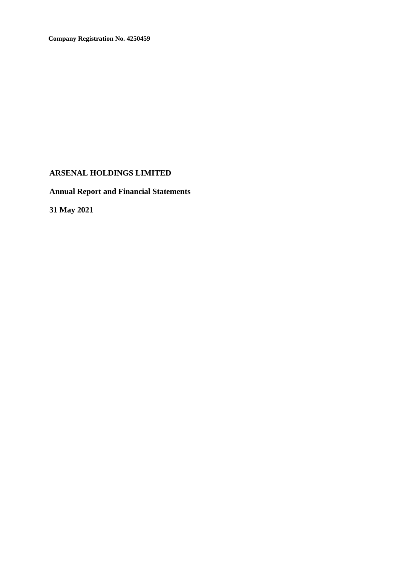**Company Registration No. 4250459** 

# **ARSENAL HOLDINGS LIMITED**

# **Annual Report and Financial Statements**

**31 May 2021**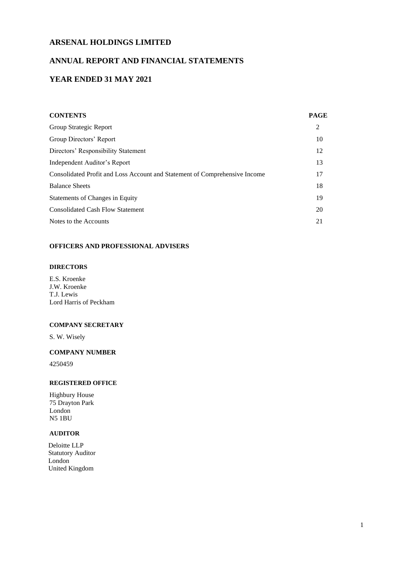## **ANNUAL REPORT AND FINANCIAL STATEMENTS**

## **YEAR ENDED 31 MAY 2021**

| <b>CONTENTS</b>                                                            | <b>PAGE</b> |
|----------------------------------------------------------------------------|-------------|
| Group Strategic Report                                                     | 2           |
| Group Directors' Report                                                    | 10          |
| Directors' Responsibility Statement                                        | 12          |
| Independent Auditor's Report                                               | 13          |
| Consolidated Profit and Loss Account and Statement of Comprehensive Income | 17          |
| <b>Balance Sheets</b>                                                      | 18          |
| Statements of Changes in Equity                                            | 19          |
| <b>Consolidated Cash Flow Statement</b>                                    | 20          |
| Notes to the Accounts                                                      | 21          |

## **OFFICERS AND PROFESSIONAL ADVISERS**

## **DIRECTORS**

E.S. Kroenke J.W. Kroenke T.J. Lewis Lord Harris of Peckham

### **COMPANY SECRETARY**

S. W. Wisely

### **COMPANY NUMBER**

4250459

## **REGISTERED OFFICE**

Highbury House 75 Drayton Park London N5 1BU

## **AUDITOR**

Deloitte LLP Statutory Auditor London<sup>.</sup> United Kingdom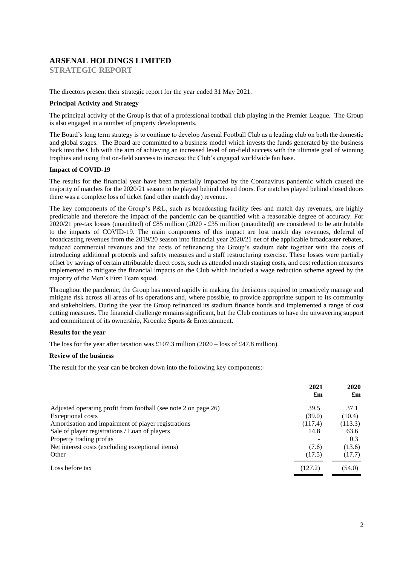**STRATEGIC REPORT** 

The directors present their strategic report for the year ended 31 May 2021.

### **Principal Activity and Strategy**

The principal activity of the Group is that of a professional football club playing in the Premier League. The Group is also engaged in a number of property developments.

The Board's long term strategy is to continue to develop Arsenal Football Club as a leading club on both the domestic and global stages. The Board are committed to a business model which invests the funds generated by the business back into the Club with the aim of achieving an increased level of on-field success with the ultimate goal of winning trophies and using that on-field success to increase the Club's engaged worldwide fan base.

### **Impact of COVID-19**

The results for the financial year have been materially impacted by the Coronavirus pandemic which caused the majority of matches for the 2020/21 season to be played behind closed doors. For matches played behind closed doors there was a complete loss of ticket (and other match day) revenue.

The key components of the Group's P&L, such as broadcasting facility fees and match day revenues, are highly predictable and therefore the impact of the pandemic can be quantified with a reasonable degree of accuracy. For 2020/21 pre-tax losses (unaudited) of £85 million (2020 - £35 million (unaudited)) are considered to be attributable to the impacts of COVID-19. The main components of this impact are lost match day revenues, deferral of broadcasting revenues from the 2019/20 season into financial year 2020/21 net of the applicable broadcaster rebates, reduced commercial revenues and the costs of refinancing the Group's stadium debt together with the costs of introducing additional protocols and safety measures and a staff restructuring exercise. These losses were partially offset by savings of certain attributable direct costs, such as attended match staging costs, and cost reduction measures implemented to mitigate the financial impacts on the Club which included a wage reduction scheme agreed by the majority of the Men's First Team squad.

Throughout the pandemic, the Group has moved rapidly in making the decisions required to proactively manage and mitigate risk across all areas of its operations and, where possible, to provide appropriate support to its community and stakeholders. During the year the Group refinanced its stadium finance bonds and implemented a range of cost cutting measures. The financial challenge remains significant, but the Club continues to have the unwavering support and commitment of its ownership, Kroenke Sports & Entertainment.

### **Results for the year**

The loss for the year after taxation was £107.3 million (2020 – loss of £47.8 million).

### **Review of the business**

The result for the year can be broken down into the following key components:-

|                                                                 | 2021<br>£m | 2020<br>$\mathbf{f}_{\mathbf{m}}$ |
|-----------------------------------------------------------------|------------|-----------------------------------|
| Adjusted operating profit from football (see note 2 on page 26) | 39.5       | 37.1                              |
| Exceptional costs                                               | (39.0)     | (10.4)                            |
| Amortisation and impairment of player registrations             | (117.4)    | (113.3)                           |
| Sale of player registrations / Loan of players                  | 14.8       | 63.6                              |
| Property trading profits                                        |            | 0.3                               |
| Net interest costs (excluding exceptional items)                | (7.6)      | (13.6)                            |
| Other                                                           | (17.5)     | (17.7)                            |
| Loss before tax                                                 | (127.2)    | (54.0)                            |
|                                                                 |            |                                   |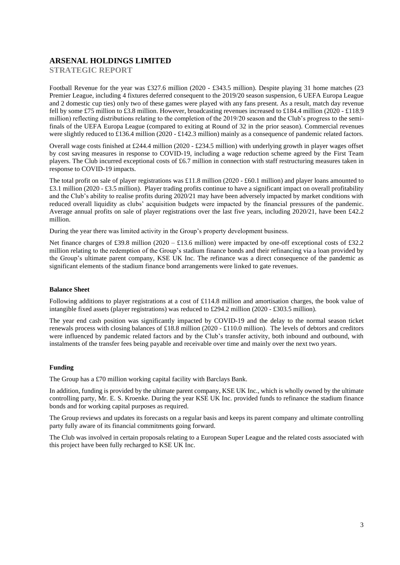**STRATEGIC REPORT** 

Football Revenue for the year was £327.6 million (2020 - £343.5 million). Despite playing 31 home matches (23 Premier League, including 4 fixtures deferred consequent to the 2019/20 season suspension, 6 UEFA Europa League and 2 domestic cup ties) only two of these games were played with any fans present. As a result, match day revenue fell by some £75 million to £3.8 million. However, broadcasting revenues increased to £184.4 million (2020 - £118.9 million) reflecting distributions relating to the completion of the 2019/20 season and the Club's progress to the semifinals of the UEFA Europa League (compared to exiting at Round of 32 in the prior season). Commercial revenues were slightly reduced to £136.4 million (2020 - £142.3 million) mainly as a consequence of pandemic related factors.

Overall wage costs finished at £244.4 million (2020 - £234.5 million) with underlying growth in player wages offset by cost saving measures in response to COVID-19, including a wage reduction scheme agreed by the First Team players. The Club incurred exceptional costs of £6.7 million in connection with staff restructuring measures taken in response to COVID-19 impacts.

The total profit on sale of player registrations was £11.8 million (2020 - £60.1 million) and player loans amounted to £3.1 million (2020 - £3.5 million). Player trading profits continue to have a significant impact on overall profitability and the Club's ability to realise profits during 2020/21 may have been adversely impacted by market conditions with reduced overall liquidity as clubs' acquisition budgets were impacted by the financial pressures of the pandemic. Average annual profits on sale of player registrations over the last five years, including 2020/21, have been £42.2 million.

During the year there was limited activity in the Group's property development business.

Net finance charges of £39.8 million (2020 – £13.6 million) were impacted by one-off exceptional costs of £32.2 million relating to the redemption of the Group's stadium finance bonds and their refinancing via a loan provided by the Group's ultimate parent company, KSE UK Inc. The refinance was a direct consequence of the pandemic as significant elements of the stadium finance bond arrangements were linked to gate revenues.

### **Balance Sheet**

Following additions to player registrations at a cost of £114.8 million and amortisation charges, the book value of intangible fixed assets (player registrations) was reduced to £294.2 million (2020 - £303.5 million).

The year end cash position was significantly impacted by COVID-19 and the delay to the normal season ticket renewals process with closing balances of £18.8 million (2020 - £110.0 million). The levels of debtors and creditors were influenced by pandemic related factors and by the Club's transfer activity, both inbound and outbound, with instalments of the transfer fees being payable and receivable over time and mainly over the next two years.

### **Funding**

The Group has a £70 million working capital facility with Barclays Bank.

In addition, funding is provided by the ultimate parent company, KSE UK Inc., which is wholly owned by the ultimate controlling party, Mr. E. S. Kroenke. During the year KSE UK Inc. provided funds to refinance the stadium finance bonds and for working capital purposes as required.

The Group reviews and updates its forecasts on a regular basis and keeps its parent company and ultimate controlling party fully aware of its financial commitments going forward.

The Club was involved in certain proposals relating to a European Super League and the related costs associated with this project have been fully recharged to KSE UK Inc.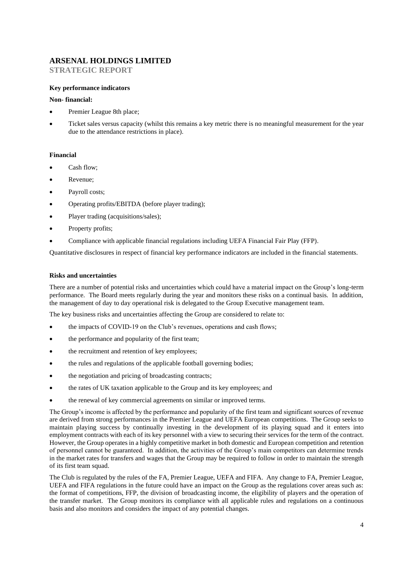**STRATEGIC REPORT** 

## **Key performance indicators**

### **Non- financial:**

- Premier League 8th place;
- Ticket sales versus capacity (whilst this remains a key metric there is no meaningful measurement for the year due to the attendance restrictions in place).

### **Financial**

- Cash flow:
- Revenue;
- Payroll costs;
- Operating profits/EBITDA (before player trading);
- Player trading (acquisitions/sales);
- Property profits;
- Compliance with applicable financial regulations including UEFA Financial Fair Play (FFP).

Quantitative disclosures in respect of financial key performance indicators are included in the financial statements.

### **Risks and uncertainties**

There are a number of potential risks and uncertainties which could have a material impact on the Group's long-term performance. The Board meets regularly during the year and monitors these risks on a continual basis. In addition, the management of day to day operational risk is delegated to the Group Executive management team.

The key business risks and uncertainties affecting the Group are considered to relate to:

- the impacts of COVID-19 on the Club's revenues, operations and cash flows;
- the performance and popularity of the first team;
- the recruitment and retention of key employees;
- the rules and regulations of the applicable football governing bodies;
- the negotiation and pricing of broadcasting contracts;
- the rates of UK taxation applicable to the Group and its key employees; and
- the renewal of key commercial agreements on similar or improved terms.

The Group's income is affected by the performance and popularity of the first team and significant sources of revenue are derived from strong performances in the Premier League and UEFA European competitions. The Group seeks to maintain playing success by continually investing in the development of its playing squad and it enters into employment contracts with each of its key personnel with a view to securing their services for the term of the contract. However, the Group operates in a highly competitive market in both domestic and European competition and retention of personnel cannot be guaranteed. In addition, the activities of the Group's main competitors can determine trends in the market rates for transfers and wages that the Group may be required to follow in order to maintain the strength of its first team squad.

The Club is regulated by the rules of the FA, Premier League, UEFA and FIFA. Any change to FA, Premier League, UEFA and FIFA regulations in the future could have an impact on the Group as the regulations cover areas such as: the format of competitions, FFP, the division of broadcasting income, the eligibility of players and the operation of the transfer market. The Group monitors its compliance with all applicable rules and regulations on a continuous basis and also monitors and considers the impact of any potential changes.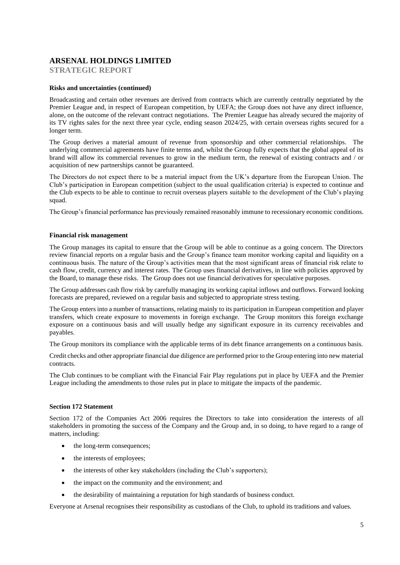**STRATEGIC REPORT** 

### **Risks and uncertainties (continued)**

Broadcasting and certain other revenues are derived from contracts which are currently centrally negotiated by the Premier League and, in respect of European competition, by UEFA; the Group does not have any direct influence, alone, on the outcome of the relevant contract negotiations. The Premier League has already secured the majority of its TV rights sales for the next three year cycle, ending season 2024/25, with certain overseas rights secured for a longer term.

The Group derives a material amount of revenue from sponsorship and other commercial relationships. The underlying commercial agreements have finite terms and, whilst the Group fully expects that the global appeal of its brand will allow its commercial revenues to grow in the medium term, the renewal of existing contracts and / or acquisition of new partnerships cannot be guaranteed.

The Directors do not expect there to be a material impact from the UK's departure from the European Union. The Club's participation in European competition (subject to the usual qualification criteria) is expected to continue and the Club expects to be able to continue to recruit overseas players suitable to the development of the Club's playing squad.

The Group's financial performance has previously remained reasonably immune to recessionary economic conditions.

### **Financial risk management**

The Group manages its capital to ensure that the Group will be able to continue as a going concern. The Directors review financial reports on a regular basis and the Group's finance team monitor working capital and liquidity on a continuous basis. The nature of the Group's activities mean that the most significant areas of financial risk relate to cash flow, credit, currency and interest rates. The Group uses financial derivatives, in line with policies approved by the Board, to manage these risks. The Group does not use financial derivatives for speculative purposes.

The Group addresses cash flow risk by carefully managing its working capital inflows and outflows. Forward looking forecasts are prepared, reviewed on a regular basis and subjected to appropriate stress testing.

The Group enters into a number of transactions, relating mainly to its participation in European competition and player transfers, which create exposure to movements in foreign exchange. The Group monitors this foreign exchange exposure on a continuous basis and will usually hedge any significant exposure in its currency receivables and payables.

The Group monitors its compliance with the applicable terms of its debt finance arrangements on a continuous basis.

Credit checks and other appropriate financial due diligence are performed prior to the Group entering into new material contracts.

The Club continues to be compliant with the Financial Fair Play regulations put in place by UEFA and the Premier League including the amendments to those rules put in place to mitigate the impacts of the pandemic.

### **Section 172 Statement**

Section 172 of the Companies Act 2006 requires the Directors to take into consideration the interests of all stakeholders in promoting the success of the Company and the Group and, in so doing, to have regard to a range of matters, including:

- the long-term consequences;
- the interests of employees;
- the interests of other key stakeholders (including the Club's supporters);
- the impact on the community and the environment; and
- the desirability of maintaining a reputation for high standards of business conduct.

Everyone at Arsenal recognises their responsibility as custodians of the Club, to uphold its traditions and values.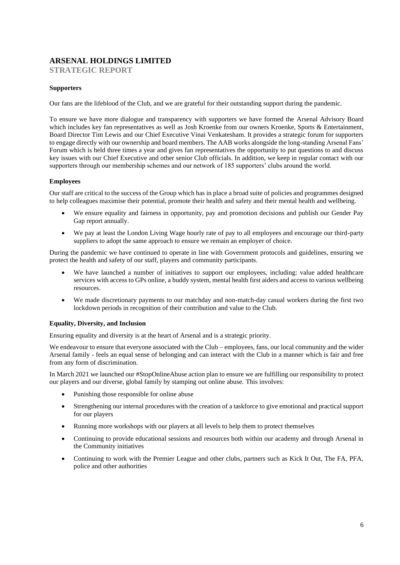**STRATEGIC REPORT** 

### **Supporters**

Our fans are the lifeblood of the Club, and we are grateful for their outstanding support during the pandemic.

To ensure we have more dialogue and transparency with supporters we have formed the Arsenal Advisory Board which includes key fan representatives as well as Josh Kroenke from our owners Kroenke, Sports & Entertainment, Board Director Tim Lewis and our Chief Executive Vinai Venkatesham. It provides a strategic forum for supporters to engage directly with our ownership and board members. The AAB works alongside the long-standing Arsenal Fans' Forum which is held three times a year and gives fan representatives the opportunity to put questions to and discuss key issues with our Chief Executive and other senior Club officials. In addition, we keep in regular contact with our supporters through our membership schemes and our network of 185 supporters' clubs around the world.

## **Employees**

Our staff are critical to the success of the Group which has in place a broad suite of policies and programmes designed to help colleagues maximise their potential, promote their health and safety and their mental health and wellbeing.

- We ensure equality and fairness in opportunity, pay and promotion decisions and publish our Gender Pay Gap report annually.
- We pay at least the London Living Wage hourly rate of pay to all employees and encourage our third-party suppliers to adopt the same approach to ensure we remain an employer of choice.

During the pandemic we have continued to operate in line with Government protocols and guidelines, ensuring we protect the health and safety of our staff, players and community participants.

- We have launched a number of initiatives to support our employees, including: value added healthcare services with access to GPs online, a buddy system, mental health first aiders and access to various wellbeing resources.
- We made discretionary payments to our matchday and non-match-day casual workers during the first two lockdown periods in recognition of their contribution and value to the Club.

### **Equality, Diversity, and Inclusion**

Ensuring equality and diversity is at the heart of Arsenal and is a strategic priority.

We endeavour to ensure that everyone associated with the Club – employees, fans, our local community and the wider Arsenal family - feels an equal sense of belonging and can interact with the Club in a manner which is fair and free from any form of discrimination.

In March 2021 we launched our #StopOnlineAbuse action plan to ensure we are fulfilling our responsibility to protect our players and our diverse, global family by stamping out online abuse. This involves:

- Punishing those responsible for online abuse
- Strengthening our internal procedures with the creation of a taskforce to give emotional and practical support for our players
- Running more workshops with our players at all levels to help them to protect themselves
- Continuing to provide educational sessions and resources both within our academy and through Arsenal in the Community initiatives
- Continuing to work with the Premier League and other clubs, partners such as Kick It Out, The FA, PFA, police and other authorities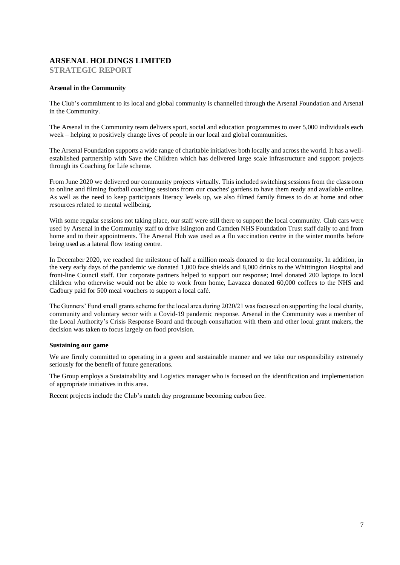**STRATEGIC REPORT** 

### **Arsenal in the Community**

The Club's commitment to its local and global community is channelled through the Arsenal Foundation and Arsenal in the Community.

The Arsenal in the Community team delivers sport, social and education programmes to over 5,000 individuals each week – helping to positively change lives of people in our local and global communities.

The Arsenal Foundation supports a wide range of charitable initiatives both locally and across the world. It has a wellestablished partnership with Save the Children which has delivered large scale infrastructure and support projects through its Coaching for Life scheme.

From June 2020 we delivered our community projects virtually. This included switching sessions from the classroom to online and filming football coaching sessions from our coaches' gardens to have them ready and available online. As well as the need to keep participants literacy levels up, we also filmed family fitness to do at home and other resources related to mental wellbeing.

With some regular sessions not taking place, our staff were still there to support the local community. Club cars were used by Arsenal in the Community staff to drive Islington and Camden NHS Foundation Trust staff daily to and from home and to their appointments. The Arsenal Hub was used as a flu vaccination centre in the winter months before being used as a lateral flow testing centre.

In December 2020, we reached the milestone of half a million meals donated to the local community. In addition, in the very early days of the pandemic we donated 1,000 face shields and 8,000 drinks to the Whittington Hospital and front-line Council staff. Our corporate partners helped to support our response; Intel donated 200 laptops to local children who otherwise would not be able to work from home, Lavazza donated 60,000 coffees to the NHS and Cadbury paid for 500 meal vouchers to support a local café.

The Gunners' Fund small grants scheme for the local area during 2020/21 was focussed on supporting the local charity, community and voluntary sector with a Covid-19 pandemic response. Arsenal in the Community was a member of the Local Authority's Crisis Response Board and through consultation with them and other local grant makers, the decision was taken to focus largely on food provision.

### **Sustaining our game**

We are firmly committed to operating in a green and sustainable manner and we take our responsibility extremely seriously for the benefit of future generations.

The Group employs a Sustainability and Logistics manager who is focused on the identification and implementation of appropriate initiatives in this area.

Recent projects include the Club's match day programme becoming carbon free.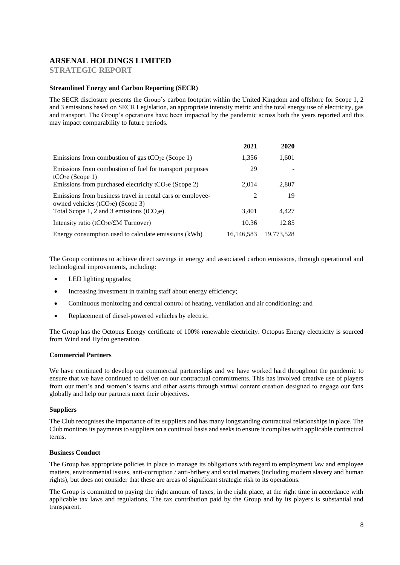**STRATEGIC REPORT** 

### **Streamlined Energy and Carbon Reporting (SECR)**

The SECR disclosure presents the Group's carbon footprint within the United Kingdom and offshore for Scope 1, 2 and 3 emissions based on SECR Legislation, an appropriate intensity metric and the total energy use of electricity, gas and transport. The Group's operations have been impacted by the pandemic across both the years reported and this may impact comparability to future periods.

|                                                                                                  | 2021       | 2020       |
|--------------------------------------------------------------------------------------------------|------------|------------|
| Emissions from combustion of gas tCO <sub>2</sub> e (Scope 1)                                    | 1,356      | 1,601      |
| Emissions from combustion of fuel for transport purposes<br>tCO <sub>2</sub> e (Scope 1)         | 29         |            |
| Emissions from purchased electricity tCO <sub>2</sub> e (Scope 2)                                | 2,014      | 2,807      |
| Emissions from business travel in rental cars or employee-<br>owned vehicles $(tCO2e)$ (Scope 3) | 2          | 19         |
| Total Scope 1, 2 and 3 emissions (tCO <sub>2</sub> e)                                            | 3,401      | 4.427      |
| Intensity ratio (tCO <sub>2</sub> e/£M Turnover)                                                 | 10.36      | 12.85      |
| Energy consumption used to calculate emissions (kWh)                                             | 16,146,583 | 19.773.528 |

The Group continues to achieve direct savings in energy and associated carbon emissions, through operational and technological improvements, including:

- LED lighting upgrades;
- Increasing investment in training staff about energy efficiency;
- Continuous monitoring and central control of heating, ventilation and air conditioning; and
- Replacement of diesel-powered vehicles by electric.

The Group has the Octopus Energy certificate of 100% renewable electricity. Octopus Energy electricity is sourced from Wind and Hydro generation.

### **Commercial Partners**

We have continued to develop our commercial partnerships and we have worked hard throughout the pandemic to ensure that we have continued to deliver on our contractual commitments. This has involved creative use of players from our men's and women's teams and other assets through virtual content creation designed to engage our fans globally and help our partners meet their objectives.

### **Suppliers**

The Club recognises the importance of its suppliers and has many longstanding contractual relationships in place. The Club monitors its payments to suppliers on a continual basis and seeks to ensure it complies with applicable contractual terms.

### **Business Conduct**

The Group has appropriate policies in place to manage its obligations with regard to employment law and employee matters, environmental issues, anti-corruption / anti-bribery and social matters (including modern slavery and human rights), but does not consider that these are areas of significant strategic risk to its operations.

The Group is committed to paying the right amount of taxes, in the right place, at the right time in accordance with applicable tax laws and regulations. The tax contribution paid by the Group and by its players is substantial and transparent.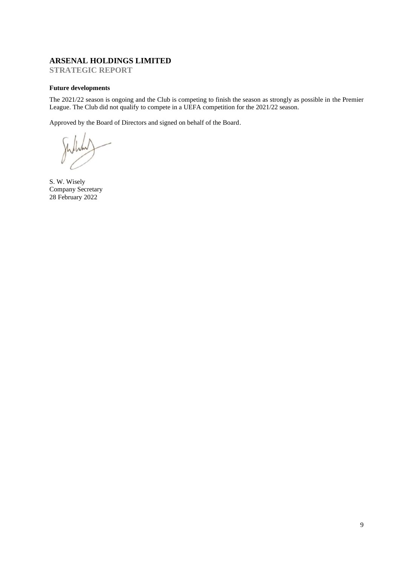**STRATEGIC REPORT** 

### **Future developments**

The 2021/22 season is ongoing and the Club is competing to finish the season as strongly as possible in the Premier League. The Club did not qualify to compete in a UEFA competition for the 2021/22 season.

Approved by the Board of Directors and signed on behalf of the Board.

S. W. Wisely Company Secretary 28 February 2022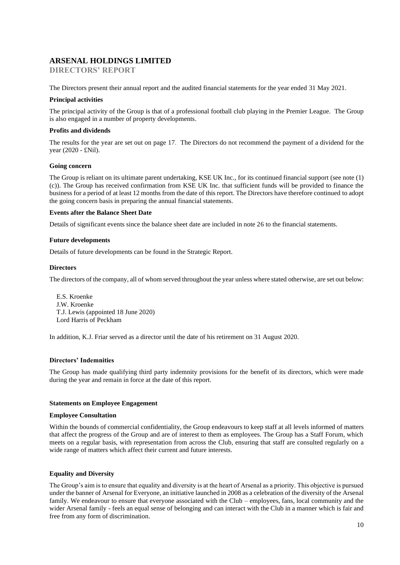DIRECTORS' REPORT

The Directors present their annual report and the audited financial statements for the year ended 31 May 2021.

### **Principal activities**

The principal activity of the Group is that of a professional football club playing in the Premier League. The Group is also engaged in a number of property developments.

## **Profits and dividends**

The results for the year are set out on page 17. The Directors do not recommend the payment of a dividend for the year (2020 - £Nil).

## **Going concern**

The Group is reliant on its ultimate parent undertaking, KSE UK Inc., for its continued financial support (see note (1) (c)). The Group has received confirmation from KSE UK Inc. that sufficient funds will be provided to finance the business for a period of at least 12 months from the date of this report. The Directors have therefore continued to adopt the going concern basis in preparing the annual financial statements.

### **Events after the Balance Sheet Date**

Details of significant events since the balance sheet date are included in note 26 to the financial statements.

## **Future developments**

Details of future developments can be found in the Strategic Report.

## **Directors**

The directors of the company, all of whom served throughout the year unless where stated otherwise, are set out below:

E.S. Kroenke J.W. Kroenke T.J. Lewis (appointed 18 June 2020) Lord Harris of Peckham

In addition, K.J. Friar served as a director until the date of his retirement on 31 August 2020.

### Directors' Indemnities

The Group has made qualifying third party indemnity provisions for the benefit of its directors, which were made during the year and remain in force at the date of this report.

### **Statements on Employee Engagement**

### **Employee Consultation**

Within the bounds of commercial confidentiality, the Group endeavours to keep staff at all levels informed of matters that affect the progress of the Group and are of interest to them as employees. The Group has a Staff Forum, which meets on a regular basis, with representation from across the Club, ensuring that staff are consulted regularly on a wide range of matters which affect their current and future interests.

### **Equality and Diversity**

The Group's aim is to ensure that equality and diversity is at the heart of Arsenal as a priority. This objective is pursued under the banner of Arsenal for Everyone, an initiative launched in 2008 as a celebration of the diversity of the Arsenal family. We endeavour to ensure that everyone associated with the Club – employees, fans, local community and the wider Arsenal family - feels an equal sense of belonging and can interact with the Club in a manner which is fair and free from any form of discrimination.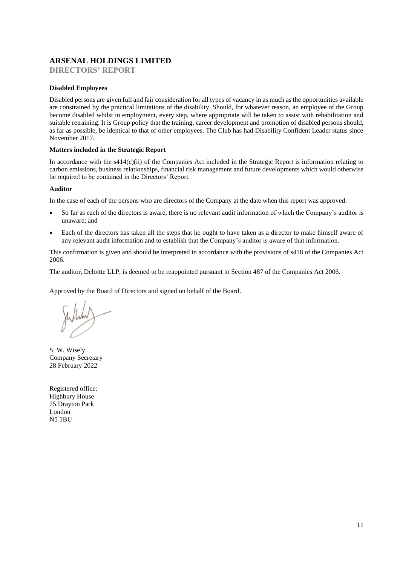DIRECTORS' REPORT

## **Disabled Employees**

Disabled persons are given full and fair consideration for all types of vacancy in as much as the opportunities available are constrained by the practical limitations of the disability. Should, for whatever reason, an employee of the Group become disabled whilst in employment, every step, where appropriate will be taken to assist with rehabilitation and suitable retraining. It is Group policy that the training, career development and promotion of disabled persons should, as far as possible, be identical to that of other employees. The Club has had Disability Confident Leader status since November 2017.

## **Matters included in the Strategic Report**

In accordance with the  $s414(c)(ii)$  of the Companies Act included in the Strategic Report is information relating to carbon emissions, business relationships, financial risk management and future developments which would otherwise be required to be contained in the Directors' Report.

### **Auditor**

In the case of each of the persons who are directors of the Company at the date when this report was approved:

- So far as each of the directors is aware, there is no relevant audit information of which the Company's auditor is unaware; and
- Each of the directors has taken all the steps that he ought to have taken as a director to make himself aware of any relevant audit information and to establish that the Company's auditor is aware of that information.

This confirmation is given and should be interpreted in accordance with the provisions of s418 of the Companies Act 2006.

The auditor, Deloitte LLP, is deemed to be reappointed pursuant to Section 487 of the Companies Act 2006.

Approved by the Board of Directors and signed on behalf of the Board.

S. W. Wisely Company Secretary 28 February 2022

Registered office: Highbury House 75 Drayton Park London N5 1BU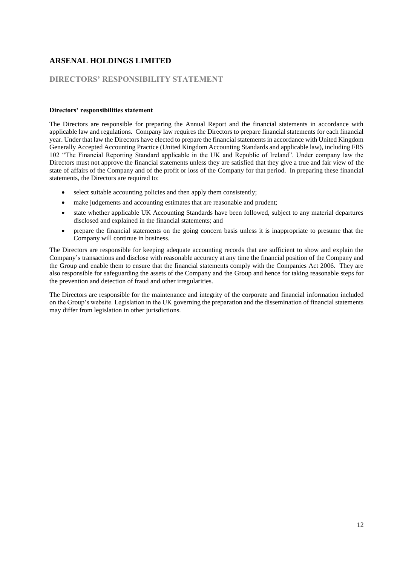## DIRECTORS' RESPONSIBILITY STATEMENT

#### Directors' responsibilities statement

The Directors are responsible for preparing the Annual Report and the financial statements in accordance with applicable law and regulations. Company law requires the Directors to prepare financial statements for each financial year. Under that law the Directors have elected to prepare the financial statements in accordance with United Kingdom Generally Accepted Accounting Practice (United Kingdom Accounting Standards and applicable law), including FRS 102 "The Financial Reporting Standard applicable in the UK and Republic of Ireland". Under company law the Directors must not approve the financial statements unless they are satisfied that they give a true and fair view of the state of affairs of the Company and of the profit or loss of the Company for that period. In preparing these financial statements, the Directors are required to:

- select suitable accounting policies and then apply them consistently;
- make judgements and accounting estimates that are reasonable and prudent;
- state whether applicable UK Accounting Standards have been followed, subject to any material departures disclosed and explained in the financial statements; and
- prepare the financial statements on the going concern basis unless it is inappropriate to presume that the Company will continue in business.

The Directors are responsible for keeping adequate accounting records that are sufficient to show and explain the Company's transactions and disclose with reasonable accuracy at any time the financial position of the Company and the Group and enable them to ensure that the financial statements comply with the Companies Act 2006. They are also responsible for safeguarding the assets of the Company and the Group and hence for taking reasonable steps for the prevention and detection of fraud and other irregularities.

The Directors are responsible for the maintenance and integrity of the corporate and financial information included on the Group's website. Legislation in the UK governing the preparation and the dissemination of financial statements may differ from legislation in other jurisdictions.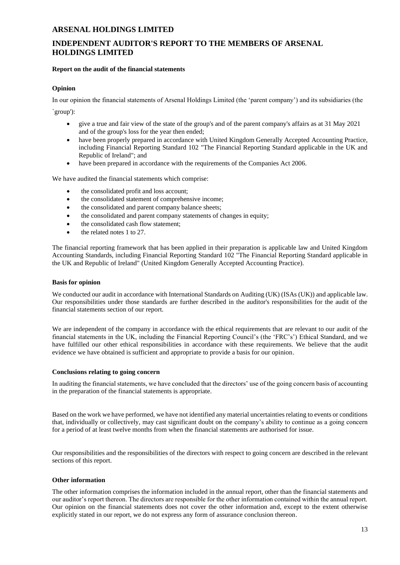## **INDEPENDENT AUDITOR'S REPORT TO THE MEMBERS OF ARSENAL HOLDINGS LIMITED**

### **Report on the audit of the financial statements**

### **Opinion**

In our opinion the financial statements of Arsenal Holdings Limited (the 'parent company') and its subsidiaries (the

`group'):

- give a true and fair view of the state of the group's and of the parent company's affairs as at 31 May 2021 and of the group's loss for the year then ended;
- have been properly prepared in accordance with United Kingdom Generally Accepted Accounting Practice, including Financial Reporting Standard 102 "The Financial Reporting Standard applicable in the UK and Republic of Ireland"; and
- have been prepared in accordance with the requirements of the Companies Act 2006.

We have audited the financial statements which comprise:

- the consolidated profit and loss account;
- the consolidated statement of comprehensive income:
- the consolidated and parent company balance sheets;
- the consolidated and parent company statements of changes in equity;
- the consolidated cash flow statement:
- the related notes 1 to 27.

The financial reporting framework that has been applied in their preparation is applicable law and United Kingdom Accounting Standards, including Financial Reporting Standard 102 "The Financial Reporting Standard applicable in the UK and Republic of Ireland" (United Kingdom Generally Accepted Accounting Practice).

#### **Basis for opinion**

We conducted our audit in accordance with International Standards on Auditing (UK) (ISAs (UK)) and applicable law. Our responsibilities under those standards are further described in the auditor's responsibilities for the audit of the financial statements section of our report.

We are independent of the company in accordance with the ethical requirements that are relevant to our audit of the financial statements in the UK, including the Financial Reporting Council's (the 'FRC's') Ethical Standard, and we have fulfilled our other ethical responsibilities in accordance with these requirements. We believe that the audit evidence we have obtained is sufficient and appropriate to provide a basis for our opinion.

#### **Conclusions relating to going concern**

In auditing the financial statements, we have concluded that the directors' use of the going concern basis of accounting in the preparation of the financial statements is appropriate.

Based on the work we have performed, we have not identified any material uncertainties relating to events or conditions that, individually or collectively, may cast significant doubt on the company's ability to continue as a going concern for a period of at least twelve months from when the financial statements are authorised for issue.

Our responsibilities and the responsibilities of the directors with respect to going concern are described in the relevant sections of this report.

#### **Other information**

The other information comprises the information included in the annual report, other than the financial statements and our auditor's report thereon. The directors are responsible for the other information contained within the annual report. Our opinion on the financial statements does not cover the other information and, except to the extent otherwise explicitly stated in our report, we do not express any form of assurance conclusion thereon.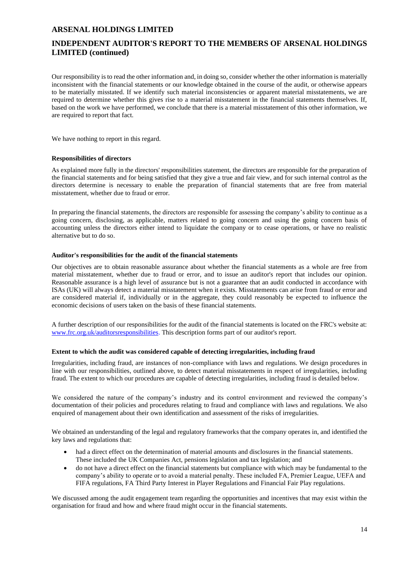# **INDEPENDENT AUDITOR'S REPORT TO THE MEMBERS OF ARSENAL HOLDINGS LIMITED (continued)**

Our responsibility is to read the other information and, in doing so, consider whether the other information is materially inconsistent with the financial statements or our knowledge obtained in the course of the audit, or otherwise appears to be materially misstated. If we identify such material inconsistencies or apparent material misstatements, we are required to determine whether this gives rise to a material misstatement in the financial statements themselves. If, based on the work we have performed, we conclude that there is a material misstatement of this other information, we are required to report that fact.

We have nothing to report in this regard.

### **Responsibilities of directors**

As explained more fully in the directors' responsibilities statement, the directors are responsible for the preparation of the financial statements and for being satisfied that they give a true and fair view, and for such internal control as the directors determine is necessary to enable the preparation of financial statements that are free from material misstatement, whether due to fraud or error.

In preparing the financial statements, the directors are responsible for assessing the company's ability to continue as a going concern, disclosing, as applicable, matters related to going concern and using the going concern basis of accounting unless the directors either intend to liquidate the company or to cease operations, or have no realistic alternative but to do so.

#### **Auditor's responsibilities for the audit of the financial statements**

Our objectives are to obtain reasonable assurance about whether the financial statements as a whole are free from material misstatement, whether due to fraud or error, and to issue an auditor's report that includes our opinion. Reasonable assurance is a high level of assurance but is not a guarantee that an audit conducted in accordance with ISAs (UK) will always detect a material misstatement when it exists. Misstatements can arise from fraud or error and are considered material if, individually or in the aggregate, they could reasonably be expected to influence the economic decisions of users taken on the basis of these financial statements.

A further description of our responsibilities for the audit of the financial statements is located on the FRC's website at: www.frc.org.uk/auditorsresponsibilities. This description forms part of our auditor's report.

### **Extent to which the audit was considered capable of detecting irregularities, including fraud**

Irregularities, including fraud, are instances of non-compliance with laws and regulations. We design procedures in line with our responsibilities, outlined above, to detect material misstatements in respect of irregularities, including fraud. The extent to which our procedures are capable of detecting irregularities, including fraud is detailed below.

We considered the nature of the company's industry and its control environment and reviewed the company's documentation of their policies and procedures relating to fraud and compliance with laws and regulations. We also enquired of management about their own identification and assessment of the risks of irregularities.

We obtained an understanding of the legal and regulatory frameworks that the company operates in, and identified the key laws and regulations that:

- had a direct effect on the determination of material amounts and disclosures in the financial statements. These included the UK Companies Act, pensions legislation and tax legislation; and
- do not have a direct effect on the financial statements but compliance with which may be fundamental to the company's ability to operate or to avoid a material penalty. These included FA, Premier League, UEFA and FIFA regulations, FA Third Party Interest in Player Regulations and Financial Fair Play regulations.

We discussed among the audit engagement team regarding the opportunities and incentives that may exist within the organisation for fraud and how and where fraud might occur in the financial statements.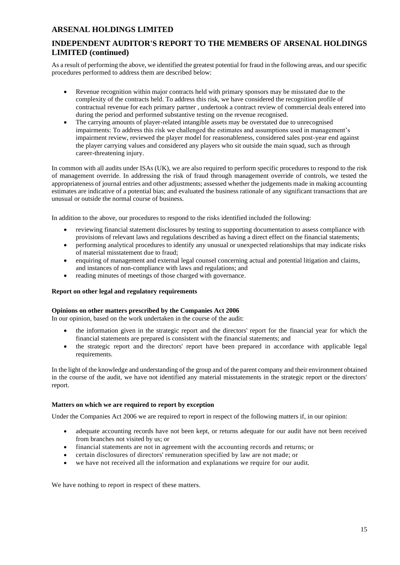## **INDEPENDENT AUDITOR'S REPORT TO THE MEMBERS OF ARSENAL HOLDINGS LIMITED (continued)**

As a result of performing the above, we identified the greatest potential for fraud in the following areas, and our specific procedures performed to address them are described below:

- Revenue recognition within major contracts held with primary sponsors may be misstated due to the complexity of the contracts held. To address this risk, we have considered the recognition profile of contractual revenue for each primary partner , undertook a contract review of commercial deals entered into during the period and performed substantive testing on the revenue recognised.
- The carrying amounts of player-related intangible assets may be overstated due to unrecognised impairments: To address this risk we challenged the estimates and assumptions used in management's impairment review, reviewed the player model for reasonableness, considered sales post-year end against the player carrying values and considered any players who sit outside the main squad, such as through career-threatening injury.

In common with all audits under ISAs (UK), we are also required to perform specific procedures to respond to the risk of management override. In addressing the risk of fraud through management override of controls, we tested the appropriateness of journal entries and other adjustments; assessed whether the judgements made in making accounting estimates are indicative of a potential bias; and evaluated the business rationale of any significant transactions that are unusual or outside the normal course of business.

In addition to the above, our procedures to respond to the risks identified included the following:

- reviewing financial statement disclosures by testing to supporting documentation to assess compliance with provisions of relevant laws and regulations described as having a direct effect on the financial statements;
- performing analytical procedures to identify any unusual or unexpected relationships that may indicate risks of material misstatement due to fraud;
- enquiring of management and external legal counsel concerning actual and potential litigation and claims, and instances of non-compliance with laws and regulations; and
- reading minutes of meetings of those charged with governance.

### **Report on other legal and regulatory requirements**

### **Opinions on other matters prescribed by the Companies Act 2006**

In our opinion, based on the work undertaken in the course of the audit:

- the information given in the strategic report and the directors' report for the financial year for which the financial statements are prepared is consistent with the financial statements; and
- the strategic report and the directors' report have been prepared in accordance with applicable legal requirements.

In the light of the knowledge and understanding of the group and of the parent company and their environment obtained in the course of the audit, we have not identified any material misstatements in the strategic report or the directors' report.

### **Matters on which we are required to report by exception**

Under the Companies Act 2006 we are required to report in respect of the following matters if, in our opinion:

- adequate accounting records have not been kept, or returns adequate for our audit have not been received from branches not visited by us; or
- financial statements are not in agreement with the accounting records and returns; or
- certain disclosures of directors' remuneration specified by law are not made; or
- we have not received all the information and explanations we require for our audit.

We have nothing to report in respect of these matters.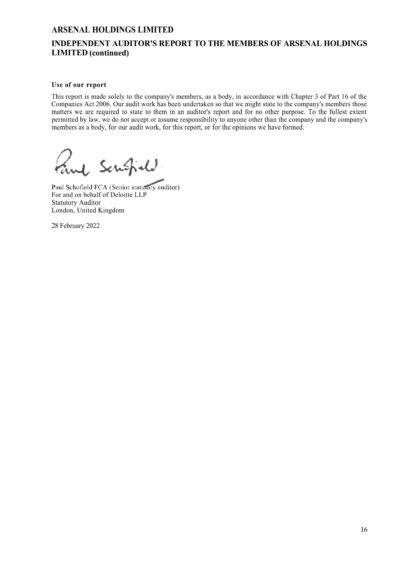# **INDEPENDENT AUDITOR'S REPORT TO THE MEMBERS OF ARSENAL HOLDINGS LIMITED** (continued)

## Use of our report

This report is made solely to the company's members, as a body, in accordance with Chapter 3 of Part 16 of the Companies Act 2006. Our audit work has been undertaken so that we might state to the company's members those matters we are required to state to them in an auditor's report and for no other purpose. To the fullest extent permitted by law, we do not accept or assume responsibility to anyone other than the company and the company's members as a body, for our audit work, for this report, or for the opinions we have formed.

and Script

Paul Schofield FCA (Senior statutory auditor) For and on behalf of Deloitte LLP **Statutory Auditor** London, United Kingdom

28 February 2022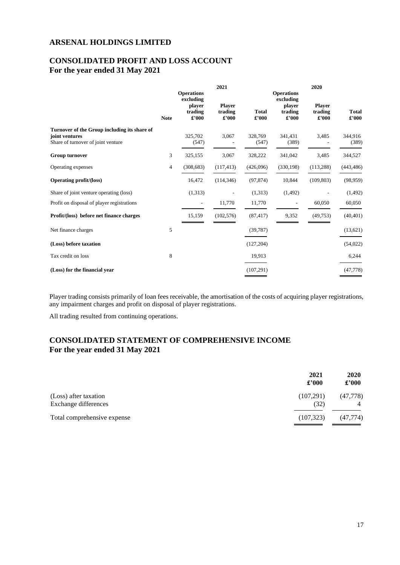## **CONSOLIDATED PROFIT AND LOSS ACCOUNT For the year ended 31 May 2021**

|                                                                                                      |                | <b>Operations</b>                                | 2021                              |                       | <b>Operations</b>                       | 2020                              |                       |
|------------------------------------------------------------------------------------------------------|----------------|--------------------------------------------------|-----------------------------------|-----------------------|-----------------------------------------|-----------------------------------|-----------------------|
|                                                                                                      | <b>Note</b>    | excluding<br>player<br>trading<br>$\pounds$ '000 | <b>Player</b><br>trading<br>£'000 | <b>Total</b><br>£'000 | excluding<br>player<br>trading<br>£'000 | <b>Player</b><br>trading<br>£'000 | <b>Total</b><br>£'000 |
| Turnover of the Group including its share of<br>joint ventures<br>Share of turnover of joint venture |                | 325,702<br>(547)                                 | 3,067                             | 328,769<br>(547)      | 341,431<br>(389)                        | 3,485                             | 344,916<br>(389)      |
| Group turnover                                                                                       | 3              | 325,155                                          | 3,067                             | 328,222               | 341,042                                 | 3,485                             | 344,527               |
| Operating expenses                                                                                   | $\overline{4}$ | (308, 683)                                       | (117, 413)                        | (426,096)             | (330, 198)                              | (113, 288)                        | (443, 486)            |
| <b>Operating profit/(loss)</b>                                                                       |                | 16,472                                           | (114, 346)                        | (97, 874)             | 10,844                                  | (109, 803)                        | (98, 959)             |
| Share of joint venture operating (loss)                                                              |                | (1,313)                                          |                                   | (1,313)               | (1,492)                                 |                                   | (1,492)               |
| Profit on disposal of player registrations                                                           |                | $\overline{\phantom{a}}$                         | 11,770                            | 11,770                |                                         | 60,050                            | 60,050                |
| Profit/(loss) before net finance charges                                                             |                | 15,159                                           | (102, 576)                        | (87, 417)             | 9,352                                   | (49, 753)                         | (40, 401)             |
| Net finance charges                                                                                  | 5              |                                                  |                                   | (39, 787)             |                                         |                                   | (13,621)              |
| (Loss) before taxation                                                                               |                |                                                  |                                   | (127, 204)            |                                         |                                   | (54, 022)             |
| Tax credit on loss                                                                                   | 8              |                                                  |                                   | 19,913                |                                         |                                   | 6,244                 |
| (Loss) for the financial year                                                                        |                |                                                  |                                   | (107, 291)            |                                         |                                   | (47, 778)             |

Player trading consists primarily of loan fees receivable, the amortisation of the costs of acquiring player registrations, any impairment charges and profit on disposal of player registrations.

All trading resulted from continuing operations.

## **CONSOLIDATED STATEMENT OF COMPREHENSIVE INCOME For the year ended 31 May 2021**

|                                               | 2021<br>$\pounds 000$ | 2020<br>$\pounds$ '000 |
|-----------------------------------------------|-----------------------|------------------------|
| (Loss) after taxation<br>Exchange differences | (107,291)<br>(32)     | (47, 778)              |
| Total comprehensive expense                   | (107,323)             | (47,774)               |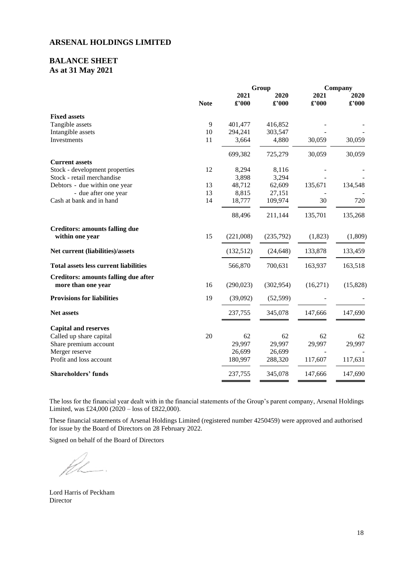## **BALANCE SHEET As at 31 May 2021**

|             | Group         |                           |                  | Company       |
|-------------|---------------|---------------------------|------------------|---------------|
| <b>Note</b> | 2021<br>£'000 | 2020<br>£'000             | 2021<br>£'000    | 2020<br>£'000 |
|             |               |                           |                  |               |
| 9           | 401,477       | 416,852                   |                  |               |
| 10          | 294,241       | 303,547                   |                  |               |
| 11          | 3,664         | 4,880                     | 30,059           | 30,059        |
|             | 699,382       | 725,279                   | 30,059           | 30,059        |
|             |               |                           |                  |               |
| 12          | 8,294         | 8,116                     |                  |               |
|             |               |                           |                  |               |
| 13          | 48,712        | 62,609                    | 135,671          | 134,548       |
|             |               | 27,151                    |                  |               |
| 14          | 18,777        | 109,974                   | 30               | 720           |
|             | 88,496        | 211,144                   | 135,701          | 135,268       |
|             |               |                           |                  |               |
|             | (221,008)     | (235,792)                 | (1,823)          | (1,809)       |
|             | (132,512)     | (24, 648)                 | 133,878          | 133,459       |
|             | 566,870       | 700,631                   | 163,937          | 163,518       |
| 16          | (290, 023)    | (302, 954)                | (16,271)         | (15, 828)     |
| 19          | (39,092)      | (52, 599)                 |                  |               |
|             |               |                           |                  | 147,690       |
|             |               |                           |                  |               |
|             |               |                           |                  |               |
| 20          | 62            | 62                        | 62               | 62            |
|             | 29,997        | 29,997                    | 29,997           | 29,997        |
|             | 26,699        | 26,699                    |                  |               |
|             | 180,997       | 288,320                   | 117,607          | 117,631       |
|             | 237,755       | 345,078                   | 147,666          | 147,690       |
|             | 13<br>15      | 3,898<br>8,815<br>237,755 | 3,294<br>345,078 | 147,666       |

The loss for the financial year dealt with in the financial statements of the Group's parent company, Arsenal Holdings Limited, was £24,000 (2020 – loss of £822,000).

These financial statements of Arsenal Holdings Limited (registered number 4250459) were approved and authorised for issue by the Board of Directors on 28 February 2022.

Signed on behalf of the Board of Directors

Lord Harris of Peckham Director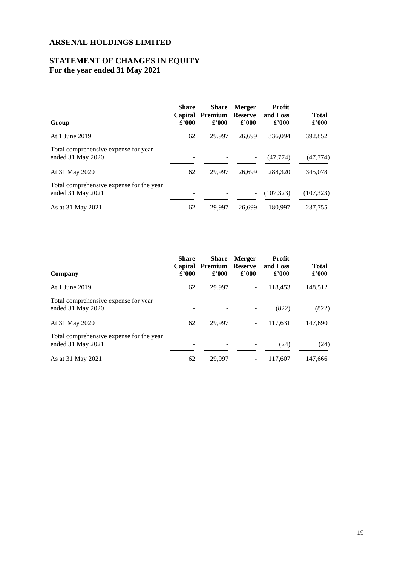# **STATEMENT OF CHANGES IN EQUITY For the year ended 31 May 2021**

| Group                                                         | <b>Share</b><br>Capital<br>£'000 | <b>Share</b><br>Premium<br>£2000 | <b>Merger</b><br><b>Reserve</b><br>£2000 | <b>Profit</b><br>and Loss<br>£2000 | <b>Total</b><br>$\pounds$ '000 |
|---------------------------------------------------------------|----------------------------------|----------------------------------|------------------------------------------|------------------------------------|--------------------------------|
| At 1 June 2019                                                | 62                               | 29.997                           | 26,699                                   | 336,094                            | 392,852                        |
| Total comprehensive expense for year<br>ended 31 May 2020     |                                  |                                  |                                          | (47, 774)                          | (47, 774)                      |
| At 31 May 2020                                                | 62                               | 29.997                           | 26.699                                   | 288.320                            | 345,078                        |
| Total comprehensive expense for the year<br>ended 31 May 2021 |                                  |                                  | $\overline{\phantom{a}}$                 | (107, 323)                         | (107, 323)                     |
| As at 31 May 2021                                             | 62                               | 29.997                           | 26,699                                   | 180,997                            | 237,755                        |

| Company                                                       | <b>Share</b><br>Capital<br>£2000 | <b>Share</b><br>Premium<br>£2000 | <b>Merger</b><br><b>Reserve</b><br>£2000 | <b>Profit</b><br>and Loss<br>$\pounds$ '000 | <b>Total</b><br>$\pounds$ '000 |
|---------------------------------------------------------------|----------------------------------|----------------------------------|------------------------------------------|---------------------------------------------|--------------------------------|
| At 1 June 2019                                                | 62                               | 29.997                           |                                          | 118,453                                     | 148,512                        |
| Total comprehensive expense for year<br>ended 31 May 2020     |                                  |                                  |                                          | (822)                                       | (822)                          |
| At 31 May 2020                                                | 62                               | 29.997                           |                                          | 117.631                                     | 147,690                        |
| Total comprehensive expense for the year<br>ended 31 May 2021 |                                  |                                  |                                          | (24)                                        | (24)                           |
| As at 31 May 2021                                             | 62                               | 29.997                           |                                          | 117.607                                     | 147,666                        |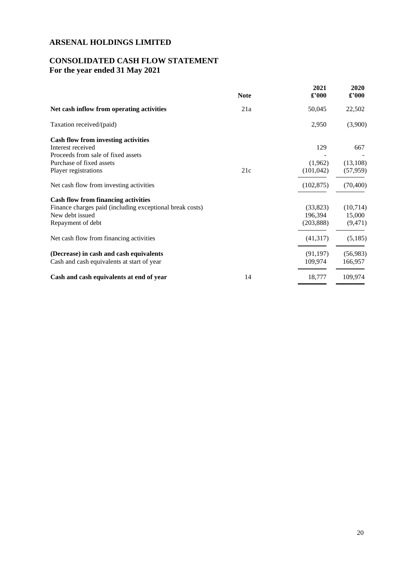# **CONSOLIDATED CASH FLOW STATEMENT For the year ended 31 May 2021**

|                                                                                                                                                | <b>Note</b> | 2021<br>$\pounds$ '000            | 2020<br>$\pounds$ '000         |
|------------------------------------------------------------------------------------------------------------------------------------------------|-------------|-----------------------------------|--------------------------------|
| Net cash inflow from operating activities                                                                                                      | 21a         | 50,045                            | 22,502                         |
| Taxation received/(paid)                                                                                                                       |             | 2,950                             | (3,900)                        |
| <b>Cash flow from investing activities</b><br>Interest received<br>Proceeds from sale of fixed assets                                          |             | 129                               | 667                            |
| Purchase of fixed assets<br>Player registrations                                                                                               | 21c         | (1,962)<br>(101, 042)             | (13, 108)<br>(57, 959)         |
| Net cash flow from investing activities                                                                                                        |             | (102, 875)                        | (70, 400)                      |
| <b>Cash flow from financing activities</b><br>Finance charges paid (including exceptional break costs)<br>New debt issued<br>Repayment of debt |             | (33,823)<br>196,394<br>(203, 888) | (10,714)<br>15,000<br>(9, 471) |
| Net cash flow from financing activities                                                                                                        |             | (41,317)                          | (5,185)                        |
| (Decrease) in cash and cash equivalents<br>Cash and cash equivalents at start of year                                                          |             | (91, 197)<br>109,974              | (56,983)<br>166,957            |
| Cash and cash equivalents at end of year                                                                                                       | 14          | 18,777                            | 109,974                        |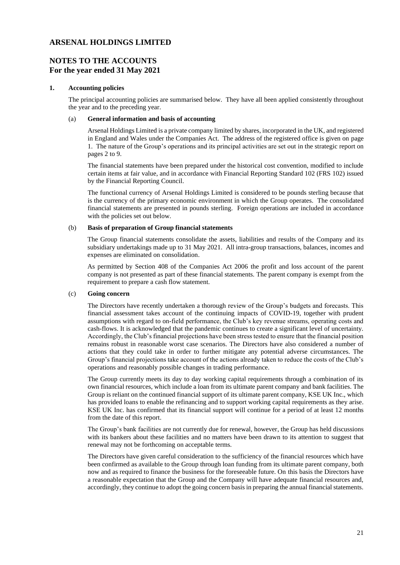## **NOTES TO THE ACCOUNTS For the year ended 31 May 2021**

### **1. Accounting policies**

The principal accounting policies are summarised below. They have all been applied consistently throughout the year and to the preceding year.

### (a) **General information and basis of accounting**

Arsenal Holdings Limited is a private company limited by shares, incorporated in the UK, and registered in England and Wales under the Companies Act. The address of the registered office is given on page 1. The nature of the Group's operations and its principal activities are set out in the strategic report on pages 2 to 9.

The financial statements have been prepared under the historical cost convention, modified to include certain items at fair value, and in accordance with Financial Reporting Standard 102 (FRS 102) issued by the Financial Reporting Council.

The functional currency of Arsenal Holdings Limited is considered to be pounds sterling because that is the currency of the primary economic environment in which the Group operates. The consolidated financial statements are presented in pounds sterling. Foreign operations are included in accordance with the policies set out below.

#### (b) **Basis of preparation of Group financial statements**

The Group financial statements consolidate the assets, liabilities and results of the Company and its subsidiary undertakings made up to 31 May 2021. All intra-group transactions, balances, incomes and expenses are eliminated on consolidation.

As permitted by Section 408 of the Companies Act 2006 the profit and loss account of the parent company is not presented as part of these financial statements. The parent company is exempt from the requirement to prepare a cash flow statement.

### (c) **Going concern**

The Directors have recently undertaken a thorough review of the Group's budgets and forecasts. This financial assessment takes account of the continuing impacts of COVID-19, together with prudent assumptions with regard to on-field performance, the Club's key revenue streams, operating costs and cash-flows. It is acknowledged that the pandemic continues to create a significant level of uncertainty. Accordingly, the Club's financial projections have been stress tested to ensure that the financial position remains robust in reasonable worst case scenarios. The Directors have also considered a number of actions that they could take in order to further mitigate any potential adverse circumstances. The Group's financial projections take account of the actions already taken to reduce the costs of the Club's operations and reasonably possible changes in trading performance.

The Group currently meets its day to day working capital requirements through a combination of its own financial resources, which include a loan from its ultimate parent company and bank facilities. The Group is reliant on the continued financial support of its ultimate parent company, KSE UK Inc., which has provided loans to enable the refinancing and to support working capital requirements as they arise. KSE UK Inc. has confirmed that its financial support will continue for a period of at least 12 months from the date of this report.

The Group's bank facilities are not currently due for renewal, however, the Group has held discussions with its bankers about these facilities and no matters have been drawn to its attention to suggest that renewal may not be forthcoming on acceptable terms.

The Directors have given careful consideration to the sufficiency of the financial resources which have been confirmed as available to the Group through loan funding from its ultimate parent company, both now and as required to finance the business for the foreseeable future. On this basis the Directors have a reasonable expectation that the Group and the Company will have adequate financial resources and, accordingly, they continue to adopt the going concern basis in preparing the annual financial statements.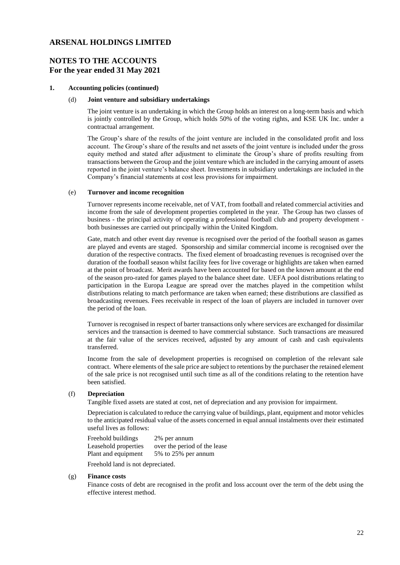## **NOTES TO THE ACCOUNTS For the year ended 31 May 2021**

### **1. Accounting policies (continued)**

#### (d) **Joint venture and subsidiary undertakings**

The joint venture is an undertaking in which the Group holds an interest on a long-term basis and which is jointly controlled by the Group, which holds 50% of the voting rights, and KSE UK Inc. under a contractual arrangement.

The Group's share of the results of the joint venture are included in the consolidated profit and loss account. The Group's share of the results and net assets of the joint venture is included under the gross equity method and stated after adjustment to eliminate the Group's share of profits resulting from transactions between the Group and the joint venture which are included in the carrying amount of assets reported in the joint venture's balance sheet. Investments in subsidiary undertakings are included in the Company's financial statements at cost less provisions for impairment.

#### (e) **Turnover and income recognition**

Turnover represents income receivable, net of VAT, from football and related commercial activities and income from the sale of development properties completed in the year. The Group has two classes of business - the principal activity of operating a professional football club and property development both businesses are carried out principally within the United Kingdom.

Gate, match and other event day revenue is recognised over the period of the football season as games are played and events are staged. Sponsorship and similar commercial income is recognised over the duration of the respective contracts. The fixed element of broadcasting revenues is recognised over the duration of the football season whilst facility fees for live coverage or highlights are taken when earned at the point of broadcast. Merit awards have been accounted for based on the known amount at the end of the season pro-rated for games played to the balance sheet date. UEFA pool distributions relating to participation in the Europa League are spread over the matches played in the competition whilst distributions relating to match performance are taken when earned; these distributions are classified as broadcasting revenues. Fees receivable in respect of the loan of players are included in turnover over the period of the loan.

Turnover is recognised in respect of barter transactions only where services are exchanged for dissimilar services and the transaction is deemed to have commercial substance. Such transactions are measured at the fair value of the services received, adjusted by any amount of cash and cash equivalents transferred.

Income from the sale of development properties is recognised on completion of the relevant sale contract. Where elements of the sale price are subject to retentions by the purchaser the retained element of the sale price is not recognised until such time as all of the conditions relating to the retention have been satisfied.

### (f) **Depreciation**

Tangible fixed assets are stated at cost, net of depreciation and any provision for impairment.

Depreciation is calculated to reduce the carrying value of buildings, plant, equipment and motor vehicles to the anticipated residual value of the assets concerned in equal annual instalments over their estimated useful lives as follows:

| Freehold buildings   | 2% per annum                 |
|----------------------|------------------------------|
| Leasehold properties | over the period of the lease |
| Plant and equipment  | 5% to 25% per annum          |

Freehold land is not depreciated.

#### (g) **Finance costs**

Finance costs of debt are recognised in the profit and loss account over the term of the debt using the effective interest method.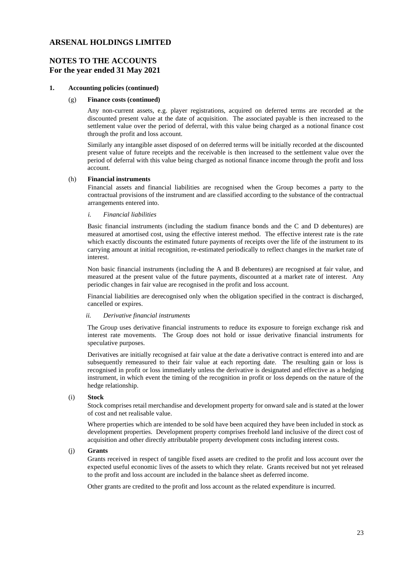## **NOTES TO THE ACCOUNTS For the year ended 31 May 2021**

### **1. Accounting policies (continued)**

#### (g) **Finance costs (continued)**

Any non-current assets, e.g. player registrations, acquired on deferred terms are recorded at the discounted present value at the date of acquisition. The associated payable is then increased to the settlement value over the period of deferral, with this value being charged as a notional finance cost through the profit and loss account.

Similarly any intangible asset disposed of on deferred terms will be initially recorded at the discounted present value of future receipts and the receivable is then increased to the settlement value over the period of deferral with this value being charged as notional finance income through the profit and loss account.

#### (h) **Financial instruments**

Financial assets and financial liabilities are recognised when the Group becomes a party to the contractual provisions of the instrument and are classified according to the substance of the contractual arrangements entered into.

#### *i. Financial liabilities*

Basic financial instruments (including the stadium finance bonds and the C and D debentures) are measured at amortised cost, using the effective interest method. The effective interest rate is the rate which exactly discounts the estimated future payments of receipts over the life of the instrument to its carrying amount at initial recognition, re-estimated periodically to reflect changes in the market rate of interest.

Non basic financial instruments (including the A and B debentures) are recognised at fair value, and measured at the present value of the future payments, discounted at a market rate of interest. Any periodic changes in fair value are recognised in the profit and loss account.

Financial liabilities are derecognised only when the obligation specified in the contract is discharged, cancelled or expires.

#### *ii. Derivative financial instruments*

The Group uses derivative financial instruments to reduce its exposure to foreign exchange risk and interest rate movements. The Group does not hold or issue derivative financial instruments for speculative purposes.

Derivatives are initially recognised at fair value at the date a derivative contract is entered into and are subsequently remeasured to their fair value at each reporting date. The resulting gain or loss is recognised in profit or loss immediately unless the derivative is designated and effective as a hedging instrument, in which event the timing of the recognition in profit or loss depends on the nature of the hedge relationship.

#### (i) **Stock**

Stock comprises retail merchandise and development property for onward sale and is stated at the lower of cost and net realisable value.

Where properties which are intended to be sold have been acquired they have been included in stock as development properties. Development property comprises freehold land inclusive of the direct cost of acquisition and other directly attributable property development costs including interest costs.

### (j) **Grants**

Grants received in respect of tangible fixed assets are credited to the profit and loss account over the expected useful economic lives of the assets to which they relate. Grants received but not yet released to the profit and loss account are included in the balance sheet as deferred income.

Other grants are credited to the profit and loss account as the related expenditure is incurred.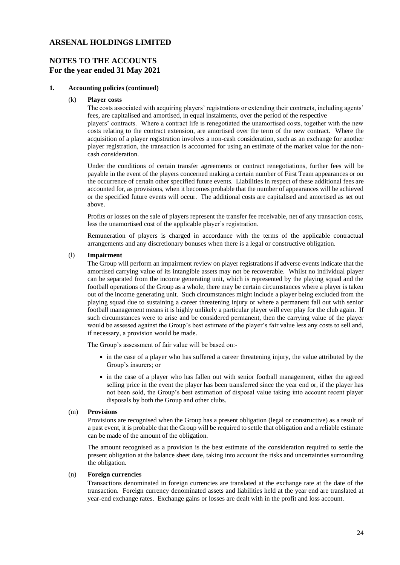## **NOTES TO THE ACCOUNTS For the year ended 31 May 2021**

### **1. Accounting policies (continued)**

#### (k) **Player costs**

The costs associated with acquiring players' registrations or extending their contracts, including agents' fees, are capitalised and amortised, in equal instalments, over the period of the respective

players' contracts. Where a contract life is renegotiated the unamortised costs, together with the new costs relating to the contract extension, are amortised over the term of the new contract. Where the acquisition of a player registration involves a non-cash consideration, such as an exchange for another player registration, the transaction is accounted for using an estimate of the market value for the noncash consideration.

Under the conditions of certain transfer agreements or contract renegotiations, further fees will be payable in the event of the players concerned making a certain number of First Team appearances or on the occurrence of certain other specified future events. Liabilities in respect of these additional fees are accounted for, as provisions, when it becomes probable that the number of appearances will be achieved or the specified future events will occur. The additional costs are capitalised and amortised as set out above.

Profits or losses on the sale of players represent the transfer fee receivable, net of any transaction costs, less the unamortised cost of the applicable player's registration.

Remuneration of players is charged in accordance with the terms of the applicable contractual arrangements and any discretionary bonuses when there is a legal or constructive obligation.

#### (l) **Impairment**

The Group will perform an impairment review on player registrations if adverse events indicate that the amortised carrying value of its intangible assets may not be recoverable. Whilst no individual player can be separated from the income generating unit, which is represented by the playing squad and the football operations of the Group as a whole, there may be certain circumstances where a player is taken out of the income generating unit. Such circumstances might include a player being excluded from the playing squad due to sustaining a career threatening injury or where a permanent fall out with senior football management means it is highly unlikely a particular player will ever play for the club again. If such circumstances were to arise and be considered permanent, then the carrying value of the player would be assessed against the Group's best estimate of the player's fair value less any costs to sell and, if necessary, a provision would be made.

The Group's assessment of fair value will be based on:-

- in the case of a player who has suffered a career threatening injury, the value attributed by the Group's insurers; or
- in the case of a player who has fallen out with senior football management, either the agreed selling price in the event the player has been transferred since the year end or, if the player has not been sold, the Group's best estimation of disposal value taking into account recent player disposals by both the Group and other clubs.

#### (m) **Provisions**

Provisions are recognised when the Group has a present obligation (legal or constructive) as a result of a past event, it is probable that the Group will be required to settle that obligation and a reliable estimate can be made of the amount of the obligation.

The amount recognised as a provision is the best estimate of the consideration required to settle the present obligation at the balance sheet date, taking into account the risks and uncertainties surrounding the obligation.

#### (n) **Foreign currencies**

Transactions denominated in foreign currencies are translated at the exchange rate at the date of the transaction. Foreign currency denominated assets and liabilities held at the year end are translated at year-end exchange rates. Exchange gains or losses are dealt with in the profit and loss account.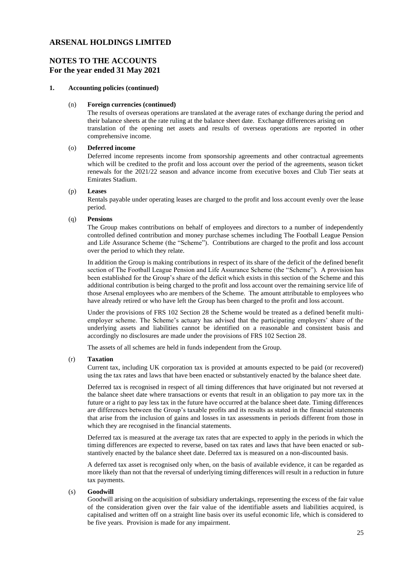## **NOTES TO THE ACCOUNTS For the year ended 31 May 2021**

### **1. Accounting policies (continued)**

#### (n) **Foreign currencies (continued)**

The results of overseas operations are translated at the average rates of exchange during the period and their balance sheets at the rate ruling at the balance sheet date. Exchange differences arising on translation of the opening net assets and results of overseas operations are reported in other comprehensive income.

#### (o) **Deferred income**

Deferred income represents income from sponsorship agreements and other contractual agreements which will be credited to the profit and loss account over the period of the agreements, season ticket renewals for the 2021/22 season and advance income from executive boxes and Club Tier seats at Emirates Stadium.

#### (p) **Leases**

Rentals payable under operating leases are charged to the profit and loss account evenly over the lease period.

## (q) **Pensions**

The Group makes contributions on behalf of employees and directors to a number of independently controlled defined contribution and money purchase schemes including The Football League Pension and Life Assurance Scheme (the "Scheme"). Contributions are charged to the profit and loss account over the period to which they relate.

In addition the Group is making contributions in respect of its share of the deficit of the defined benefit section of The Football League Pension and Life Assurance Scheme (the "Scheme"). A provision has been established for the Group's share of the deficit which exists in this section of the Scheme and this additional contribution is being charged to the profit and loss account over the remaining service life of those Arsenal employees who are members of the Scheme. The amount attributable to employees who have already retired or who have left the Group has been charged to the profit and loss account.

Under the provisions of FRS 102 Section 28 the Scheme would be treated as a defined benefit multiemployer scheme. The Scheme's actuary has advised that the participating employers' share of the underlying assets and liabilities cannot be identified on a reasonable and consistent basis and accordingly no disclosures are made under the provisions of FRS 102 Section 28.

The assets of all schemes are held in funds independent from the Group.

#### (r) **Taxation**

Current tax, including UK corporation tax is provided at amounts expected to be paid (or recovered) using the tax rates and laws that have been enacted or substantively enacted by the balance sheet date.

Deferred tax is recognised in respect of all timing differences that have originated but not reversed at the balance sheet date where transactions or events that result in an obligation to pay more tax in the future or a right to pay less tax in the future have occurred at the balance sheet date. Timing differences are differences between the Group's taxable profits and its results as stated in the financial statements that arise from the inclusion of gains and losses in tax assessments in periods different from those in which they are recognised in the financial statements.

Deferred tax is measured at the average tax rates that are expected to apply in the periods in which the timing differences are expected to reverse, based on tax rates and laws that have been enacted or substantively enacted by the balance sheet date. Deferred tax is measured on a non-discounted basis.

A deferred tax asset is recognised only when, on the basis of available evidence, it can be regarded as more likely than not that the reversal of underlying timing differences will result in a reduction in future tax payments.

#### (s) **Goodwill**

Goodwill arising on the acquisition of subsidiary undertakings, representing the excess of the fair value of the consideration given over the fair value of the identifiable assets and liabilities acquired, is capitalised and written off on a straight line basis over its useful economic life, which is considered to be five years. Provision is made for any impairment.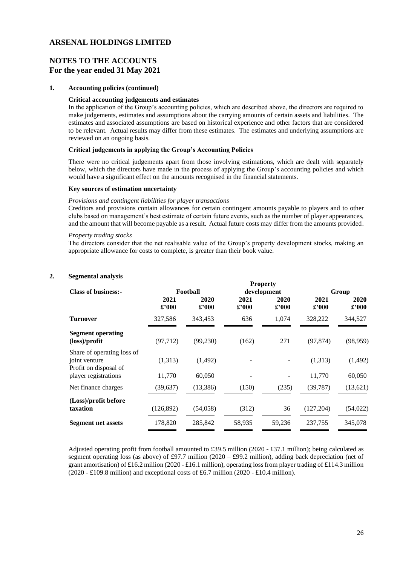## **NOTES TO THE ACCOUNTS For the year ended 31 May 2021**

### **1. Accounting policies (continued)**

#### **Critical accounting judgements and estimates**

In the application of the Group's accounting policies, which are described above, the directors are required to make judgements, estimates and assumptions about the carrying amounts of certain assets and liabilities. The estimates and associated assumptions are based on historical experience and other factors that are considered to be relevant. Actual results may differ from these estimates. The estimates and underlying assumptions are reviewed on an ongoing basis.

### Critical judgements in applying the Group's Accounting Policies

There were no critical judgements apart from those involving estimations, which are dealt with separately below, which the directors have made in the process of applying the Group's accounting policies and which would have a significant effect on the amounts recognised in the financial statements.

### **Key sources of estimation uncertainty**

#### *Provisions and contingent liabilities for player transactions*

Creditors and provisions contain allowances for certain contingent amounts payable to players and to other clubs based on management's best estimate of certain future events, such as the number of player appearances, and the amount that will become payable as a result. Actual future costs may differ from the amounts provided.

#### *Property trading stocks*

The directors consider that the net realisable value of the Group's property development stocks, making an appropriate allowance for costs to complete, is greater than their book value.

### **2. Segmental analysis**

|                                                                      | <b>Property</b> |                                    |               |                                       |               |                                        |
|----------------------------------------------------------------------|-----------------|------------------------------------|---------------|---------------------------------------|---------------|----------------------------------------|
| <b>Class of business:-</b>                                           | 2021<br>£'000   | Football<br>2020<br>$\pounds$ '000 | 2021<br>£'000 | development<br>2020<br>$\pounds$ '000 | 2021<br>£'000 | Group<br><b>2020</b><br>$\pounds$ '000 |
| <b>Turnover</b>                                                      | 327,586         | 343,453                            | 636           | 1,074                                 | 328,222       | 344,527                                |
| <b>Segment operating</b><br>$(\text{loss})/\text{profit}$            | (97, 712)       | (99,230)                           | (162)         | 271                                   | (97, 874)     | (98, 959)                              |
| Share of operating loss of<br>joint venture<br>Profit on disposal of | (1,313)         | (1,492)                            |               |                                       | (1,313)       | (1, 492)                               |
| player registrations                                                 | 11,770          | 60,050                             |               |                                       | 11,770        | 60,050                                 |
| Net finance charges                                                  | (39,637)        | (13, 386)                          | (150)         | (235)                                 | (39, 787)     | (13, 621)                              |
| (Loss)/profit before<br>taxation                                     | (126, 892)      | (54,058)                           | (312)         | 36                                    | (127,204)     | (54, 022)                              |
| <b>Segment net assets</b>                                            | 178,820         | 285,842                            | 58,935        | 59,236                                | 237,755       | 345,078                                |

Adjusted operating profit from football amounted to £39.5 million (2020 - £37.1 million); being calculated as segment operating loss (as above) of £97.7 million (2020 – £99.2 million), adding back depreciation (net of grant amortisation) of £16.2 million (2020 - £16.1 million), operating loss from player trading of £114.3 million (2020 - £109.8 million) and exceptional costs of £6.7 million (2020 - £10.4 million).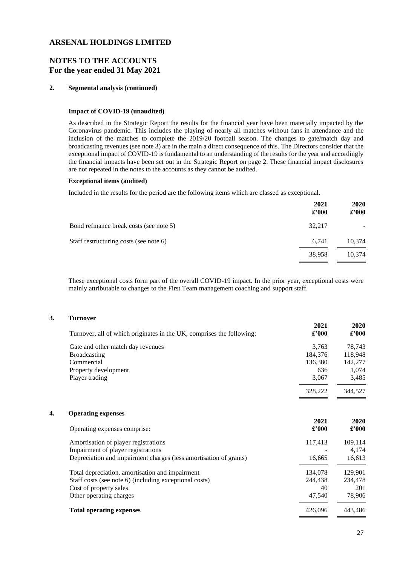## **NOTES TO THE ACCOUNTS For the year ended 31 May 2021**

### **2. Segmental analysis (continued)**

### **Impact of COVID-19 (unaudited)**

As described in the Strategic Report the results for the financial year have been materially impacted by the Coronavirus pandemic. This includes the playing of nearly all matches without fans in attendance and the inclusion of the matches to complete the 2019/20 football season. The changes to gate/match day and broadcasting revenues (see note 3) are in the main a direct consequence of this. The Directors consider that the exceptional impact of COVID-19 is fundamental to an understanding of the results for the year and accordingly the financial impacts have been set out in the Strategic Report on page 2. These financial impact disclosures are not repeated in the notes to the accounts as they cannot be audited.

### **Exceptional items (audited)**

Included in the results for the period are the following items which are classed as exceptional.

|                                         | 2021<br>$\pounds$ '000 | <b>2020</b><br>$\pounds$ '000 |
|-----------------------------------------|------------------------|-------------------------------|
| Bond refinance break costs (see note 5) | 32,217                 |                               |
| Staff restructuring costs (see note 6)  | 6.741                  | 10,374                        |
|                                         | 38,958                 | 10,374                        |
|                                         |                        |                               |

These exceptional costs form part of the overall COVID-19 impact. In the prior year, exceptional costs were mainly attributable to changes to the First Team management coaching and support staff.

#### **3. Turnover**

|    | Turnover, all of which originates in the UK, comprises the following: | 2021<br>$\pounds$ '000 | 2020<br>$\pounds$ '000 |
|----|-----------------------------------------------------------------------|------------------------|------------------------|
|    | Gate and other match day revenues                                     | 3,763                  | 78,743                 |
|    | <b>Broadcasting</b>                                                   | 184,376                | 118,948                |
|    | Commercial                                                            | 136,380                | 142,277                |
|    | Property development                                                  | 636                    | 1,074                  |
|    | Player trading                                                        | 3,067                  | 3,485                  |
|    |                                                                       | 328,222                | 344,527                |
| 4. | <b>Operating expenses</b>                                             |                        |                        |
|    | Operating expenses comprise:                                          | 2021<br>$\pounds$ '000 | 2020<br>$\pounds$ '000 |
|    | Amortisation of player registrations                                  | 117,413                | 109,114                |
|    | Impairment of player registrations                                    |                        | 4,174                  |
|    | Depreciation and impairment charges (less amortisation of grants)     | 16,665                 | 16,613                 |
|    | Total depreciation, amortisation and impairment                       | 134,078                | 129,901                |
|    | Staff costs (see note 6) (including exceptional costs)                | 244,438                | 234,478                |
|    | Cost of property sales                                                | 40                     | 201                    |
|    | Other operating charges                                               | 47,540                 | 78,906                 |
|    | <b>Total operating expenses</b>                                       | 426,096                | 443,486                |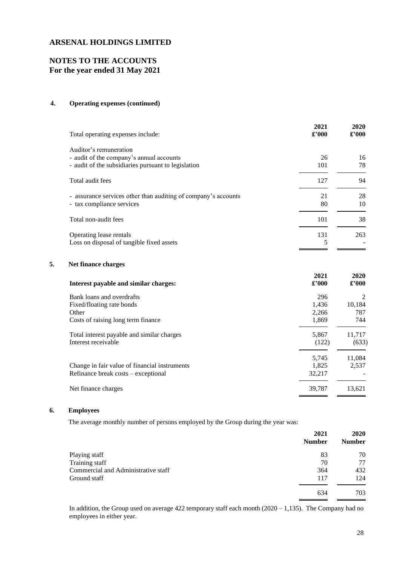## **NOTES TO THE ACCOUNTS For the year ended 31 May 2021**

## **4. Operating expenses (continued)**

|    | Total operating expenses include:                              | 2021<br>£'000 | 2020<br>$\pmb{\pounds}^{\bullet}000$ |
|----|----------------------------------------------------------------|---------------|--------------------------------------|
|    | Auditor's remuneration                                         |               |                                      |
|    | - audit of the company's annual accounts                       | 26            | 16                                   |
|    | - audit of the subsidiaries pursuant to legislation            | 101           | 78                                   |
|    | Total audit fees                                               | 127           | 94                                   |
|    | - assurance services other than auditing of company's accounts | 21            | 28                                   |
|    | - tax compliance services                                      | 80            | 10                                   |
|    | Total non-audit fees                                           | 101           | 38                                   |
|    | Operating lease rentals                                        | 131           | 263                                  |
|    | Loss on disposal of tangible fixed assets                      | 5             |                                      |
| 5. | Net finance charges                                            |               |                                      |
|    | Interest payable and similar charges:                          | 2021<br>£'000 | 2020<br>$\pmb{\pounds}^{\bullet}000$ |
|    | Bank loans and overdrafts                                      | 296           | 2                                    |
|    | Fixed/floating rate bonds                                      | 1,436         | 10,184                               |
|    | Other                                                          | 2,266         | 787                                  |
|    | Costs of raising long term finance                             | 1,869         | 744                                  |
|    | Total interest payable and similar charges                     | 5,867         | 11,717                               |
|    | Interest receivable                                            | (122)         | (633)                                |
|    |                                                                | 5,745         | 11,084                               |
|    | Change in fair value of financial instruments                  | 1,825         | 2,537                                |
|    | Refinance break costs - exceptional                            | 32,217        |                                      |
|    | Net finance charges                                            | 39,787        | 13,621                               |
|    |                                                                |               |                                      |

## **6. Employees**

The average monthly number of persons employed by the Group during the year was:

|                                     | 2021<br><b>Number</b> | <b>2020</b><br><b>Number</b> |
|-------------------------------------|-----------------------|------------------------------|
| Playing staff                       | 83                    | 70                           |
| Training staff                      | 70                    | 77                           |
| Commercial and Administrative staff | 364                   | 432                          |
| Ground staff                        | 117                   | 124                          |
|                                     | 634                   | 703                          |

In addition, the Group used on average  $422$  temporary staff each month ( $2020 - 1,135$ ). The Company had no employees in either year.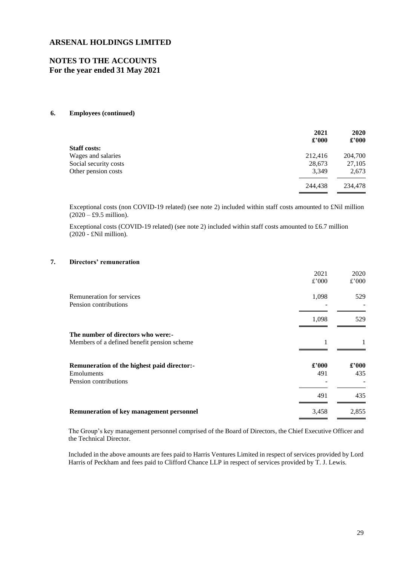## **NOTES TO THE ACCOUNTS For the year ended 31 May 2021**

**6. Employees (continued)** 

|                       | 2021<br>$\pounds$ '000 | <b>2020</b><br>$\pounds$ '000 |
|-----------------------|------------------------|-------------------------------|
| <b>Staff costs:</b>   |                        |                               |
| Wages and salaries    | 212,416                | 204,700                       |
| Social security costs | 28,673                 | 27,105                        |
| Other pension costs   | 3.349                  | 2,673                         |
|                       | 244,438                | 234,478                       |

 $(2020 - \pounds9.5 \text{ million}).$ Exceptional costs (non COVID-19 related) (see note 2) included within staff costs amounted to £Nil million

Exceptional costs (COVID-19 related) (see note 2) included within staff costs amounted to £6.7 million (2020 - £Nil million).

## **7.** Directors' remuneration

|                                             | 2021           | 2020           |
|---------------------------------------------|----------------|----------------|
|                                             | £'000          | £'000          |
| <b>Remuneration for services</b>            | 1,098          | 529            |
| Pension contributions                       |                |                |
|                                             | 1,098          | 529            |
| The number of directors who were:-          |                |                |
| Members of a defined benefit pension scheme | 1              |                |
| Remuneration of the highest paid director:- | $\pounds$ '000 | $\pounds$ '000 |
| Emoluments<br>Pension contributions         | 491            | 435            |
|                                             |                |                |
|                                             | 491            | 435            |
| Remuneration of key management personnel    | 3,458          | 2,855          |
|                                             |                |                |

The Group's key management personnel comprised of the Board of Directors, the Chief Executive Officer and the Technical Director.

Included in the above amounts are fees paid to Harris Ventures Limited in respect of services provided by Lord Harris of Peckham and fees paid to Clifford Chance LLP in respect of services provided by T. J. Lewis.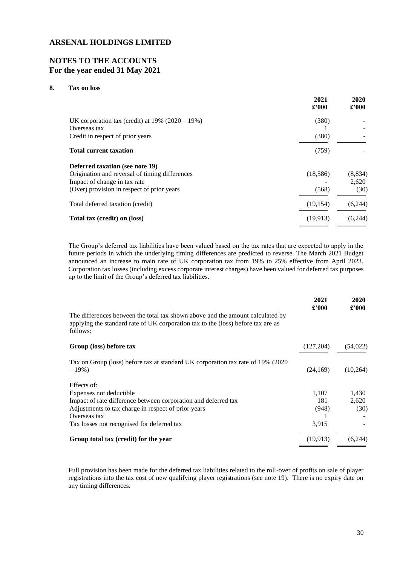## **NOTES TO THE ACCOUNTS For the year ended 31 May 2021**

### **8. Tax on loss**

|                                                    | 2021<br>£2000 | 2020<br>£2000 |
|----------------------------------------------------|---------------|---------------|
| UK corporation tax (credit) at $19\%$ (2020 – 19%) | (380)         |               |
| Overseas tax                                       |               |               |
| Credit in respect of prior years                   | (380)         |               |
| <b>Total current taxation</b>                      | (759)         |               |
| <b>Deferred taxation (see note 19)</b>             |               |               |
| Origination and reversal of timing differences     | (18,586)      | (8,834)       |
| Impact of change in tax rate                       |               | 2,620         |
| (Over) provision in respect of prior years         | (568)         | (30)          |
| Total deferred taxation (credit)                   | (19, 154)     | (6,244)       |
| Total tax (credit) on (loss)                       | (19.913)      | (6,244)       |

The Group's deferred tax liabilities have been valued based on the tax rates that are expected to apply in the future periods in which the underlying timing differences are predicted to reverse. The March 2021 Budget announced an increase to main rate of UK corporation tax from 19% to 25% effective from April 2023. Corporation tax losses (including excess corporate interest charges) have been valued for deferred tax purposes up to the limit of the Group's deferred tax liabilities.

|                                                                                                                                                                                | 2021<br>$\pounds$ '000 | 2020<br>$\pounds$ '000 |
|--------------------------------------------------------------------------------------------------------------------------------------------------------------------------------|------------------------|------------------------|
| The differences between the total tax shown above and the amount calculated by<br>applying the standard rate of UK corporation tax to the (loss) before tax are as<br>follows: |                        |                        |
| Group (loss) before tax                                                                                                                                                        | (127,204)              | (54,022)               |
| Tax on Group (loss) before tax at standard UK corporation tax rate of 19% (2020)<br>$-19\%$                                                                                    | (24,169)               | (10, 264)              |
| Effects of:                                                                                                                                                                    |                        |                        |
| Expenses not deductible                                                                                                                                                        | 1.107                  | 1,430                  |
| Impact of rate difference between corporation and deferred tax                                                                                                                 | 181                    | 2,620                  |
| Adjustments to tax charge in respect of prior years                                                                                                                            | (948)                  | (30)                   |
| Overseas tax                                                                                                                                                                   |                        |                        |
| Tax losses not recognised for deferred tax                                                                                                                                     | 3,915                  |                        |
| Group total tax (credit) for the year                                                                                                                                          | (19.913)               | (6,244)                |

Full provision has been made for the deferred tax liabilities related to the roll-over of profits on sale of player registrations into the tax cost of new qualifying player registrations (see note 19). There is no expiry date on any timing differences.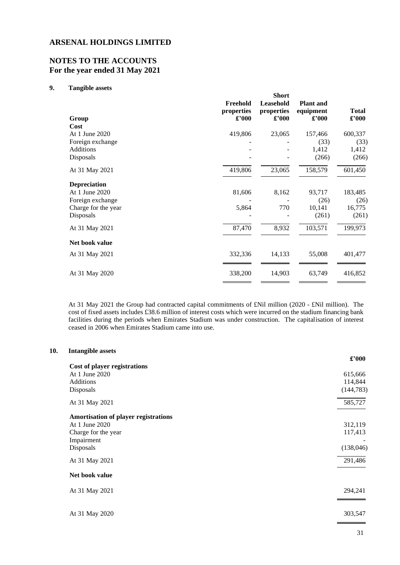## **NOTES TO THE ACCOUNTS For the year ended 31 May 2021**

## **9. Tangible assets**

| Group                                                                                         | Freehold<br>properties<br>£'000 | <b>Short</b><br>Leasehold<br>properties<br>$\pmb{\pounds}$ '000 | <b>Plant</b> and<br>equipment<br>£'000 | <b>Total</b><br>£'000              |
|-----------------------------------------------------------------------------------------------|---------------------------------|-----------------------------------------------------------------|----------------------------------------|------------------------------------|
| Cost<br>At 1 June 2020                                                                        | 419,806                         | 23,065                                                          | 157,466                                | 600,337                            |
| Foreign exchange                                                                              |                                 |                                                                 | (33)                                   | (33)                               |
| <b>Additions</b>                                                                              |                                 |                                                                 | 1,412                                  | 1,412                              |
| Disposals                                                                                     |                                 |                                                                 | (266)                                  | (266)                              |
| At 31 May 2021                                                                                | 419,806                         | 23,065                                                          | 158,579                                | 601,450                            |
| <b>Depreciation</b><br>At 1 June 2020<br>Foreign exchange<br>Charge for the year<br>Disposals | 81,606<br>5,864                 | 8,162<br>770                                                    | 93,717<br>(26)<br>10,141<br>(261)      | 183,485<br>(26)<br>16,775<br>(261) |
| At 31 May 2021                                                                                | 87,470                          | 8,932                                                           | 103,571                                | 199,973                            |
| Net book value                                                                                |                                 |                                                                 |                                        |                                    |
| At 31 May 2021                                                                                | 332,336                         | 14,133                                                          | 55,008                                 | 401,477                            |
| At 31 May 2020                                                                                | 338,200                         | 14,903                                                          | 63,749                                 | 416,852                            |
|                                                                                               |                                 |                                                                 |                                        |                                    |

At 31 May 2021 the Group had contracted capital commitments of £Nil million (2020 - £Nil million). The cost of fixed assets includes £38.6 million of interest costs which were incurred on the stadium financing bank facilities during the periods when Emirates Stadium was under construction. The capitalisation of interest ceased in 2006 when Emirates Stadium came into use.

## **10. Intangible assets**

| mangnon assem                               | $\pounds$ '000 |
|---------------------------------------------|----------------|
| Cost of player registrations                |                |
| At 1 June 2020                              | 615,666        |
| Additions                                   | 114,844        |
| Disposals                                   | (144, 783)     |
| At 31 May 2021                              | 585,727        |
| <b>Amortisation of player registrations</b> |                |
| At 1 June 2020                              | 312,119        |
| Charge for the year                         | 117,413        |
| Impairment                                  |                |
| Disposals                                   | (138,046)      |
| At 31 May 2021                              | 291,486        |
| Net book value                              |                |
| At 31 May 2021                              | 294,241        |
|                                             |                |
| At 31 May 2020                              | 303,547        |
|                                             |                |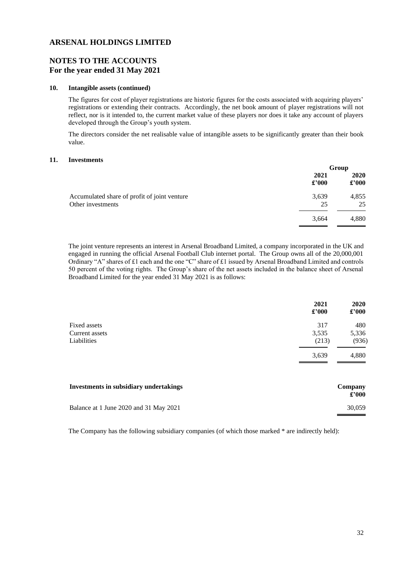## **NOTES TO THE ACCOUNTS For the year ended 31 May 2021**

### **10. Intangible assets (continued)**

The figures for cost of player registrations are historic figures for the costs associated with acquiring players' registrations or extending their contracts. Accordingly, the net book amount of player registrations will not reflect, nor is it intended to, the current market value of these players nor does it take any account of players developed through the Group's youth system.

The directors consider the net realisable value of intangible assets to be significantly greater than their book value.

### **11. Investments**

| Group                  |                        |
|------------------------|------------------------|
| 2021<br>$\pounds$ '000 | 2020<br>$\pounds$ '000 |
| 3,639<br>25            | 4,855<br>25            |
| 3,664                  | 4,880                  |
|                        |                        |

The joint venture represents an interest in Arsenal Broadband Limited, a company incorporated in the UK and engaged in running the official Arsenal Football Club internet portal. The Group owns all of the 20,000,001 Ordinary "A" shares of £1 each and the one "C" share of £1 issued by Arsenal Broadband Limited and controls 50 percent of the voting rights. The Group's share of the net assets included in the balance sheet of Arsenal Broadband Limited for the year ended 31 May 2021 is as follows:

|                                        | 2021<br>£'000 | 2020<br>$\pounds$ '000    |
|----------------------------------------|---------------|---------------------------|
| Fixed assets                           | 317           | 480                       |
| Current assets                         | 3,535         | 5,336                     |
| Liabilities                            | (213)         | (936)                     |
|                                        | 3,639         | 4,880                     |
| Investments in subsidiary undertakings |               | Company<br>$\pounds$ '000 |
| Balance at 1 June 2020 and 31 May 2021 |               | 30,059                    |

The Company has the following subsidiary companies (of which those marked \* are indirectly held):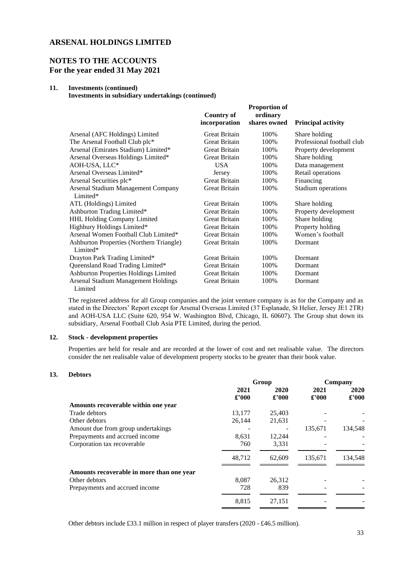## **NOTES TO THE ACCOUNTS For the year ended 31 May 2021**

## **11. Investments (continued)**

**Investments in subsidiary undertakings (continued)** 

|                                                             | Country of<br>incorporation | <b>Proportion of</b><br>ordinary<br>shares owned | <b>Principal activity</b>  |
|-------------------------------------------------------------|-----------------------------|--------------------------------------------------|----------------------------|
| Arsenal (AFC Holdings) Limited                              | <b>Great Britain</b>        | 100%                                             | Share holding              |
| The Arsenal Football Club plc*                              | <b>Great Britain</b>        | 100%                                             | Professional football club |
| Arsenal (Emirates Stadium) Limited*                         | <b>Great Britain</b>        | 100%                                             | Property development       |
| Arsenal Overseas Holdings Limited*                          | <b>Great Britain</b>        | 100%                                             | Share holding              |
| AOH-USA, LLC*                                               | <b>USA</b>                  | 100%                                             | Data management            |
| Arsenal Overseas Limited*                                   | Jersey                      | 100%                                             | Retail operations          |
| Arsenal Securities plc*                                     | <b>Great Britain</b>        | 100%                                             | Financing                  |
| <b>Arsenal Stadium Management Company</b><br>Limited*       | Great Britain               | 100%                                             | Stadium operations         |
| ATL (Holdings) Limited                                      | <b>Great Britain</b>        | 100%                                             | Share holding              |
| Ashburton Trading Limited*                                  | <b>Great Britain</b>        | 100%                                             | Property development       |
| <b>HHL Holding Company Limited</b>                          | <b>Great Britain</b>        | 100%                                             | Share holding              |
| Highbury Holdings Limited*                                  | <b>Great Britain</b>        | 100%                                             | Property holding           |
| Arsenal Women Football Club Limited*                        | <b>Great Britain</b>        | 100%                                             | Women's football           |
| <b>Ashburton Properties (Northern Triangle)</b><br>Limited* | Great Britain               | 100%                                             | Dormant                    |
| Drayton Park Trading Limited*                               | <b>Great Britain</b>        | 100%                                             | Dormant                    |
| Queensland Road Trading Limited*                            | <b>Great Britain</b>        | 100%                                             | Dormant                    |
| <b>Ashburton Properties Holdings Limited</b>                | Great Britain               | 100%                                             | Dormant                    |
| <b>Arsenal Stadium Management Holdings</b>                  | <b>Great Britain</b>        | 100%                                             | Dormant                    |
| Limited                                                     |                             |                                                  |                            |

The registered address for all Group companies and the joint venture company is as for the Company and as stated in the Directors' Report except for Arsenal Overseas Limited (37 Esplanade, St Helier, Jersey JE1 2TR) and AOH-USA LLC (Suite 620, 954 W. Washington Blvd, Chicago, IL 60607). The Group shut down its subsidiary, Arsenal Football Club Asia PTE Limited, during the period.

### **12. Stock - development properties**

Properties are held for resale and are recorded at the lower of cost and net realisable value. The directors consider the net realisable value of development property stocks to be greater than their book value.

### **13. Debtors**

|                                           | Group  |        | Company        |                |
|-------------------------------------------|--------|--------|----------------|----------------|
|                                           | 2021   | 2020   | 2021           | 2020           |
|                                           | £2000  | £2000  | $\pounds$ '000 | $\pounds$ '000 |
| Amounts recoverable within one year       |        |        |                |                |
| Trade debtors                             | 13,177 | 25,403 |                |                |
| Other debtors                             | 26,144 | 21,631 |                |                |
| Amount due from group undertakings        |        |        | 135,671        | 134,548        |
| Prepayments and accrued income            | 8,631  | 12,244 |                |                |
| Corporation tax recoverable               | 760    | 3,331  |                |                |
|                                           | 48,712 | 62,609 | 135,671        | 134,548        |
| Amounts recoverable in more than one year |        |        |                |                |
| Other debtors                             | 8.087  | 26,312 |                |                |
| Prepayments and accrued income            | 728    | 839    |                |                |
|                                           | 8,815  | 27,151 |                |                |
|                                           |        |        |                |                |

Other debtors include £33.1 million in respect of player transfers (2020 - £46.5 million).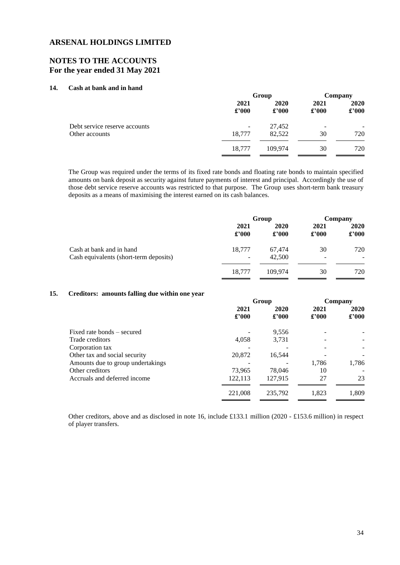## **NOTES TO THE ACCOUNTS For the year ended 31 May 2021**

### **14. Cash at bank and in hand**

|                               | Group          |                | Company                  |                |
|-------------------------------|----------------|----------------|--------------------------|----------------|
|                               | 2021           | 2020           | 2021                     | <b>2020</b>    |
|                               | $\pounds$ '000 | $\pounds$ '000 | $\pounds$ '000           | $\pounds$ '000 |
| Debt service reserve accounts | -              | 27,452         | $\overline{\phantom{0}}$ | 720            |
| Other accounts                | 18,777         | 82,522         | 30                       |                |
|                               | 18,777         | 109,974        | 30                       | 720            |

The Group was required under the terms of its fixed rate bonds and floating rate bonds to maintain specified amounts on bank deposit as security against future payments of interest and principal. Accordingly the use of those debt service reserve accounts was restricted to that purpose. The Group uses short-term bank treasury deposits as a means of maximising the interest earned on its cash balances.

|                                        | Group          |                | Company                  |                |
|----------------------------------------|----------------|----------------|--------------------------|----------------|
|                                        | 2021           | 2020           | 2021                     | <b>2020</b>    |
|                                        | $\pounds$ '000 | $\pounds$ '000 | $\pounds$ '000           | $\pounds$ '000 |
| Cash at bank and in hand               | 18,777         | 67.474         | 30                       | 720            |
| Cash equivalents (short-term deposits) | -              | 42,500         | $\overline{\phantom{0}}$ |                |
|                                        | 18.777         | 109,974        | 30                       | 720            |

### **15. Creditors: amounts falling due within one year**

|                                   | Group   |               | Company |                |
|-----------------------------------|---------|---------------|---------|----------------|
|                                   | 2021    | 2020          | 2021    | 2020           |
|                                   | £2000   | $\pounds 000$ | £2000   | $\pounds$ '000 |
| Fixed rate bonds – secured        |         | 9,556         |         |                |
| Trade creditors                   | 4,058   | 3,731         |         |                |
| Corporation tax                   |         |               |         |                |
| Other tax and social security     | 20,872  | 16,544        |         |                |
| Amounts due to group undertakings |         |               | 1,786   | 1,786          |
| Other creditors                   | 73,965  | 78,046        | 10      |                |
| Accruals and deferred income      | 122,113 | 127,915       | 27      | 23             |
|                                   | 221,008 | 235,792       | 1,823   | 1,809          |

Other creditors, above and as disclosed in note 16, include £133.1 million (2020 - £153.6 million) in respect of player transfers.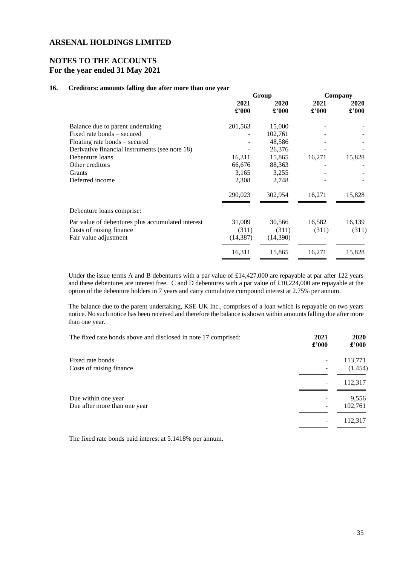## **NOTES TO THE ACCOUNTS For the year ended 31 May 2021**

### **16. Creditors: amounts falling due after more than one year**

|                                                   | Group          |                | Company        |                |
|---------------------------------------------------|----------------|----------------|----------------|----------------|
|                                                   | 2021           | 2020           | 2021           | 2020           |
|                                                   | $\pounds$ '000 | $\pounds$ '000 | $\pounds$ '000 | $\pounds$ '000 |
| Balance due to parent undertaking                 | 201,563        | 15,000         |                |                |
| Fixed rate bonds – secured                        |                | 102,761        |                |                |
| Floating rate bonds – secured                     |                | 48,586         |                |                |
| Derivative financial instruments (see note 18)    |                | 26,376         |                |                |
| Debenture loans                                   | 16,311         | 15,865         | 16,271         | 15,828         |
| Other creditors                                   | 66,676         | 88,363         |                |                |
| Grants                                            | 3,165          | 3,255          |                |                |
| Deferred income                                   | 2,308          | 2,748          |                |                |
|                                                   | 290,023        | 302,954        | 16,271         | 15,828         |
| Debenture loans comprise:                         |                |                |                |                |
| Par value of debentures plus accumulated interest | 31,009         | 30,566         | 16,582         | 16,139         |
| Costs of raising finance                          | (311)          | (311)          | (311)          | (311)          |
| Fair value adjustment                             | (14, 387)      | (14,390)       |                |                |
|                                                   | 16,311         | 15,865         | 16,271         | 15,828         |

Under the issue terms A and B debentures with a par value of £14,427,000 are repayable at par after 122 years and these debentures are interest free. C and D debentures with a par value of £10,224,000 are repayable at the option of the debenture holders in 7 years and carry cumulative compound interest at 2.75% per annum.

The balance due to the parent undertaking, KSE UK Inc., comprises of a loan which is repayable on two years notice. No such notice has been received and therefore the balance is shown within amounts falling due after more than one year.

| The fixed rate bonds above and disclosed in note 17 comprised: | 2021<br>$\pounds$ '000 | 2020<br>$\pounds 000$ |
|----------------------------------------------------------------|------------------------|-----------------------|
| Fixed rate bonds<br>Costs of raising finance                   | $\qquad \qquad -$      | 113,771<br>(1, 454)   |
|                                                                |                        | 112,317               |
| Due within one year<br>Due after more than one year            | -                      | 9,556<br>102,761      |
|                                                                |                        | 112,317               |

The fixed rate bonds paid interest at 5.1418% per annum.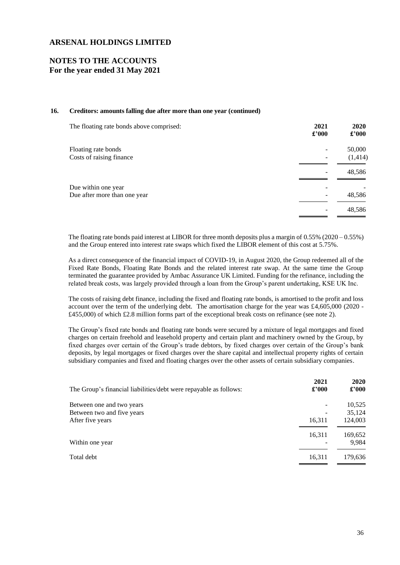## **NOTES TO THE ACCOUNTS For the year ended 31 May 2021**

#### **16. Creditors: amounts falling due after more than one year (continued)**

| The floating rate bonds above comprised: | 2021<br>$\pounds$ '000 | <b>2020</b><br>$\pounds$ '000 |
|------------------------------------------|------------------------|-------------------------------|
| Floating rate bonds                      |                        | 50,000                        |
| Costs of raising finance                 |                        | (1, 414)                      |
|                                          |                        | 48,586                        |
| Due within one year                      |                        |                               |
| Due after more than one year             |                        | 48,586                        |
|                                          |                        | 48,586                        |

The floating rate bonds paid interest at LIBOR for three month deposits plus a margin of 0.55% (2020 – 0.55%) and the Group entered into interest rate swaps which fixed the LIBOR element of this cost at 5.75%.

As a direct consequence of the financial impact of COVID-19, in August 2020, the Group redeemed all of the Fixed Rate Bonds, Floating Rate Bonds and the related interest rate swap. At the same time the Group terminated the guarantee provided by Ambac Assurance UK Limited. Funding for the refinance, including the related break costs, was largely provided through a loan from the Group's parent undertaking, KSE UK Inc.

The costs of raising debt finance, including the fixed and floating rate bonds, is amortised to the profit and loss account over the term of the underlying debt. The amortisation charge for the year was  $\text{\pounds}4,605,000$  (2020 -£455,000) of which £2.8 million forms part of the exceptional break costs on refinance (see note 2).

The Group's fixed rate bonds and floating rate bonds were secured by a mixture of legal mortgages and fixed charges on certain freehold and leasehold property and certain plant and machinery owned by the Group, by fixed charges over certain of the Group's trade debtors, by fixed charges over certain of the Group's bank deposits, by legal mortgages or fixed charges over the share capital and intellectual property rights of certain subsidiary companies and fixed and floating charges over the other assets of certain subsidiary companies.

| The Group's financial liabilities/debt were repayable as follows: | 2021<br>$\pounds$ '000 | 2020<br>$\pounds$ '000 |
|-------------------------------------------------------------------|------------------------|------------------------|
| Between one and two years                                         |                        | 10,525                 |
| Between two and five years                                        |                        | 35,124                 |
| After five years                                                  | 16,311                 | 124,003                |
|                                                                   | 16,311                 | 169,652                |
| Within one year                                                   |                        | 9.984                  |
| Total debt                                                        | 16,311                 | 179,636                |
|                                                                   |                        |                        |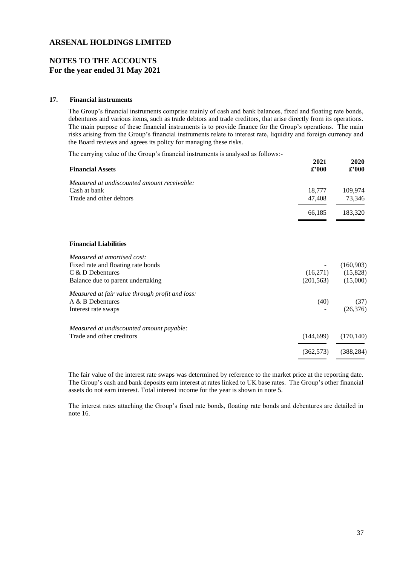## **NOTES TO THE ACCOUNTS For the year ended 31 May 2021**

### **17. Financial instruments**

The Group's financial instruments comprise mainly of cash and bank balances, fixed and floating rate bonds, debentures and various items, such as trade debtors and trade creditors, that arise directly from its operations. The main purpose of these financial instruments is to provide finance for the Group's operations. The main risks arising from the Group's financial instruments relate to interest rate, liquidity and foreign currency and the Board reviews and agrees its policy for managing these risks.

**2021** 

**2020** 

The carrying value of the Group's financial instruments is analysed as follows:-

| <b>Financial Assets</b>                         | 2021<br>$\pounds$ '000 | ZUZU<br>$\pounds$ '000 |
|-------------------------------------------------|------------------------|------------------------|
| Measured at undiscounted amount receivable:     |                        |                        |
| Cash at bank                                    | 18,777                 | 109,974                |
| Trade and other debtors                         | 47,408                 | 73,346                 |
|                                                 | 66,185                 | 183,320                |
|                                                 |                        |                        |
| <b>Financial Liabilities</b>                    |                        |                        |
| Measured at amortised cost:                     |                        |                        |
| Fixed rate and floating rate bonds              |                        | (160,903)              |
| $C$ & D Debentures                              | (16,271)               | (15,828)               |
| Balance due to parent undertaking               | (201, 563)             | (15,000)               |
| Measured at fair value through profit and loss: |                        |                        |
| A & B Debentures                                | (40)                   | (37)                   |
| Interest rate swaps                             |                        | (26,376)               |
|                                                 |                        |                        |

*Measured at undiscounted amount payable:* Trade and other creditors (144,699) (170,140) (362,573) (388,284)

The fair value of the interest rate swaps was determined by reference to the market price at the reporting date. The Group's cash and bank deposits earn interest at rates linked to UK base rates. The Group's other financial assets do not earn interest. Total interest income for the year is shown in note 5.

The interest rates attaching the Group's fixed rate bonds, floating rate bonds and debentures are detailed in note 16.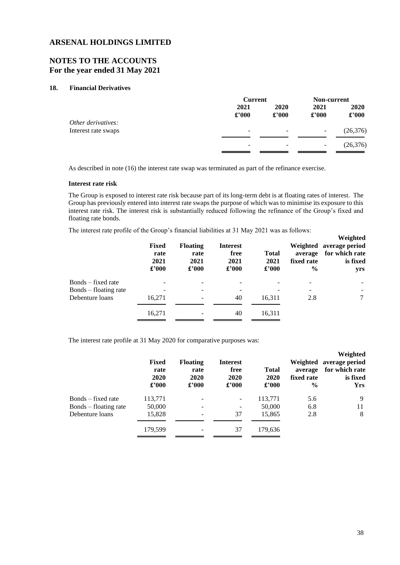## **NOTES TO THE ACCOUNTS For the year ended 31 May 2021**

### **18. Financial Derivatives**

|                     |                          | <b>Current</b>           |                          | Non-current                   |
|---------------------|--------------------------|--------------------------|--------------------------|-------------------------------|
|                     | 2021<br>$\pounds$ '000   | 2020<br>$\pounds$ '000   | 2021<br>$\pounds$ '000   | <b>2020</b><br>$\pounds$ '000 |
| Other derivatives:  |                          |                          |                          |                               |
| Interest rate swaps | $\overline{\phantom{a}}$ | $\overline{\phantom{a}}$ | $\overline{\phantom{a}}$ | (26, 376)                     |
|                     | -                        | $\overline{\phantom{a}}$ | ۰.                       | (26, 376)                     |

As described in note (16) the interest rate swap was terminated as part of the refinance exercise.

#### **Interest rate risk**

The Group is exposed to interest rate risk because part of its long-term debt is at floating rates of interest. The Group has previously entered into interest rate swaps the purpose of which was to minimise its exposure to this interest rate risk. The interest risk is substantially reduced following the refinance of the Group's fixed and floating rate bonds.

The interest rate profile of the Group's financial liabilities at 31 May 2021 was as follows:

|                       | Fixed<br>rate<br>2021<br>$\pounds$ '000 | <b>Floating</b><br>rate<br>2021<br>$\pounds 000$ | <b>Interest</b><br>free<br>2021<br>$\pounds$ '000 | <b>Total</b><br>2021<br>$\pounds 000$ | Weighted<br>average<br>fixed rate<br>$\frac{6}{9}$ | Weighted<br>average period<br>for which rate<br>is fixed<br>yrs |
|-----------------------|-----------------------------------------|--------------------------------------------------|---------------------------------------------------|---------------------------------------|----------------------------------------------------|-----------------------------------------------------------------|
| $Bonds - fixed rate$  |                                         |                                                  |                                                   |                                       |                                                    |                                                                 |
| Bonds – floating rate |                                         |                                                  |                                                   |                                       | $\qquad \qquad$                                    |                                                                 |
| Debenture loans       | 16,271                                  |                                                  | 40                                                | 16,311                                | 2.8                                                | 7                                                               |
|                       | 16,271                                  |                                                  | 40                                                | 16,311                                |                                                    |                                                                 |
|                       |                                         |                                                  |                                                   |                                       |                                                    |                                                                 |

The interest rate profile at 31 May 2020 for comparative purposes was:

|                       | Fixed<br>rate<br>2020<br>$\pounds$ '000 | <b>Floating</b><br>rate<br>2020<br>$\pounds 000$ | <b>Interest</b><br>free<br>2020<br>$\pounds$ '000 | <b>Total</b><br>2020<br>$\pounds$ '000 | Weighted<br>average<br>fixed rate<br>$\frac{6}{9}$ | Weighted<br>average period<br>for which rate<br>is fixed<br><b>Yrs</b> |
|-----------------------|-----------------------------------------|--------------------------------------------------|---------------------------------------------------|----------------------------------------|----------------------------------------------------|------------------------------------------------------------------------|
| $Bonds - fixed rate$  | 113,771                                 |                                                  | $\overline{\phantom{0}}$                          | 113,771                                | 5.6                                                | 9                                                                      |
| Bonds – floating rate | 50,000                                  |                                                  |                                                   | 50,000                                 | 6.8                                                | 11                                                                     |
| Debenture loans       | 15,828                                  |                                                  | 37                                                | 15,865                                 | 2.8                                                | 8                                                                      |
|                       | 179,599                                 |                                                  | 37                                                | 179,636                                |                                                    |                                                                        |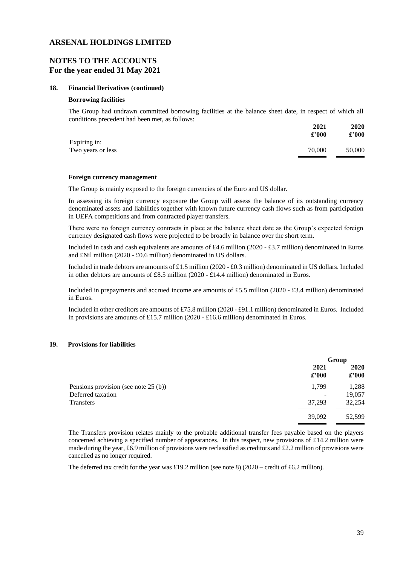## **NOTES TO THE ACCOUNTS For the year ended 31 May 2021**

#### **18. Financial Derivatives (continued)**

#### **Borrowing facilities**

The Group had undrawn committed borrowing facilities at the balance sheet date, in respect of which all conditions precedent had been met, as follows:

|                   | 2021          | 2020           |
|-------------------|---------------|----------------|
|                   | $\pounds 000$ | $\pounds$ '000 |
| Expiring in:      |               |                |
| Two years or less | 70,000        | 50,000         |

#### **Foreign currency management**

The Group is mainly exposed to the foreign currencies of the Euro and US dollar.

In assessing its foreign currency exposure the Group will assess the balance of its outstanding currency denominated assets and liabilities together with known future currency cash flows such as from participation in UEFA competitions and from contracted player transfers.

There were no foreign currency contracts in place at the balance sheet date as the Group's expected foreign currency designated cash flows were projected to be broadly in balance over the short term.

Included in cash and cash equivalents are amounts of £4.6 million (2020 - £3.7 million) denominated in Euros and £Nil million (2020 - £0.6 million) denominated in US dollars.

Included in trade debtors are amounts of £1.5 million (2020 - £0.3 million) denominated in US dollars. Included in other debtors are amounts of £8.5 million (2020 - £14.4 million) denominated in Euros.

Included in prepayments and accrued income are amounts of £5.5 million (2020 - £3.4 million) denominated in Euros.

Included in other creditors are amounts of £75.8 million (2020 - £91.1 million) denominated in Euros. Included in provisions are amounts of £15.7 million (2020 - £16.6 million) denominated in Euros.

#### **19. Provisions for liabilities**

|                                                           |                        | Group                  |  |
|-----------------------------------------------------------|------------------------|------------------------|--|
|                                                           | 2021<br>$\pounds$ '000 | 2020<br>$\pounds$ '000 |  |
| Pensions provision (see note 25 (b))<br>Deferred taxation | 1,799<br>-             | 1,288<br>19,057        |  |
| Transfers                                                 | 37,293                 | 32,254                 |  |
|                                                           | 39,092                 | 52,599                 |  |

The Transfers provision relates mainly to the probable additional transfer fees payable based on the players concerned achieving a specified number of appearances. In this respect, new provisions of £14.2 million were made during the year, £6.9 million of provisions were reclassified as creditors and £2.2 million of provisions were cancelled as no longer required.

The deferred tax credit for the year was £19.2 million (see note 8) (2020 – credit of £6.2 million).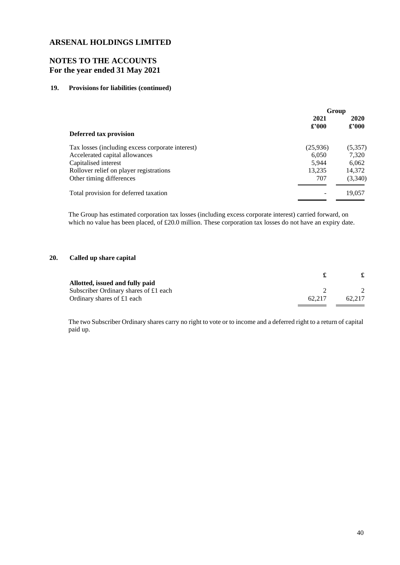## **NOTES TO THE ACCOUNTS For the year ended 31 May 2021**

### **19. Provisions for liabilities (continued)**

| Group    |               |
|----------|---------------|
| 2021     | 2020          |
| £2000    | $\pounds 000$ |
|          |               |
| (25,936) | (5,357)       |
| 6.050    | 7,320         |
| 5,944    | 6,062         |
| 13,235   | 14,372        |
| 707      | (3,340)       |
|          | 19,057        |
|          |               |

The Group has estimated corporation tax losses (including excess corporate interest) carried forward, on which no value has been placed, of £20.0 million. These corporation tax losses do not have an expiry date.

### **20. Called up share capital**

| Allotted, issued and fully paid       |        |        |
|---------------------------------------|--------|--------|
| Subscriber Ordinary shares of £1 each |        |        |
| Ordinary shares of £1 each            | 62.217 | 62.217 |
|                                       |        |        |

The two Subscriber Ordinary shares carry no right to vote or to income and a deferred right to a return of capital paid up.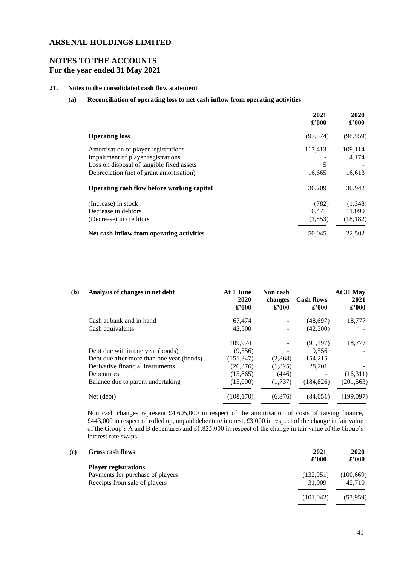## **NOTES TO THE ACCOUNTS For the year ended 31 May 2021**

### **21. Notes to the consolidated cash flow statement**

### **(a) Reconciliation of operating loss to net cash inflow from operating activities**

|                                            | 2021<br>£'000 | 2020<br>£'000 |
|--------------------------------------------|---------------|---------------|
| <b>Operating loss</b>                      | (97, 874)     | (98, 959)     |
| Amortisation of player registrations       | 117,413       | 109,114       |
| Impairment of player registrations         |               | 4,174         |
| Loss on disposal of tangible fixed assets  | 5             |               |
| Depreciation (net of grant amortisation)   | 16,665        | 16,613        |
| Operating cash flow before working capital | 36.209        | 30.942        |
| (Increase) in stock                        | (782)         | (1,348)       |
| Decrease in debtors                        | 16.471        | 11,090        |
| (Decrease) in creditors                    | (1,853)       | (18, 182)     |
| Net cash inflow from operating activities  | 50,045        | 22,502        |

|                                           | 2020<br>$\pounds$ '000 | changes<br>£2000 | <b>Cash flows</b><br>£2000 | 2021<br>$\pounds$ '000 |
|-------------------------------------------|------------------------|------------------|----------------------------|------------------------|
| Cash at bank and in hand                  | 67,474                 |                  | (48,697)                   | 18,777                 |
| Cash equivalents                          | 42,500                 |                  | (42,500)                   |                        |
|                                           | 109,974                |                  | (91, 197)                  | 18,777                 |
| Debt due within one year (bonds)          | (9,556)                |                  | 9.556                      |                        |
| Debt due after more than one year (bonds) | (151, 347)             | (2,868)          | 154,215                    |                        |
| Derivative financial instruments          | (26, 376)              | (1,825)          | 28,201                     |                        |
| <b>Debentures</b>                         | (15, 865)              | (446)            |                            | (16,311)               |
| Balance due to parent undertaking         | (15,000)               | (1,737)          | (184, 826)                 | (201, 563)             |
| Net (debt)                                | (108, 170)             | (6,876)          | (84, 051)                  | (199,097)              |
|                                           |                        |                  |                            |                        |

Non cash changes represent £4,605,000 in respect of the amortisation of costs of raising finance, £443,000 in respect of rolled up, unpaid debenture interest, £3,000 in respect of the change in fair value of the Group's A and B debentures and £1,825,000 in respect of the change in fair value of the Group's interest rate swaps.

| (c) | <b>Gross cash flows</b>          | 2021<br>£2000 | 2020<br>$\pounds$ '000 |
|-----|----------------------------------|---------------|------------------------|
|     | <b>Player registrations</b>      |               |                        |
|     | Payments for purchase of players | (132.951)     | (100, 669)             |
|     | Receipts from sale of players    | 31.909        | 42.710                 |
|     |                                  | (101, 042)    | (57, 959)              |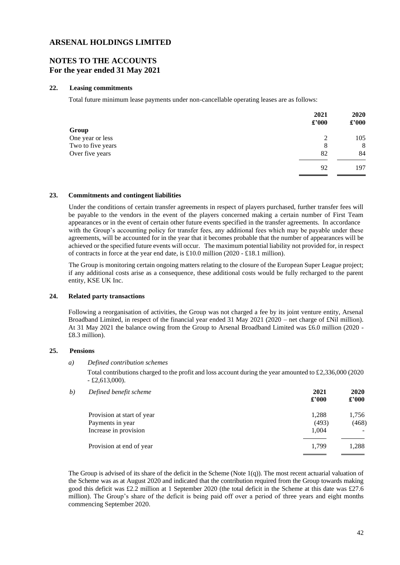## **NOTES TO THE ACCOUNTS For the year ended 31 May 2021**

### **22. Leasing commitments**

Total future minimum lease payments under non-cancellable operating leases are as follows:

|                   | 2021           | 2020           |
|-------------------|----------------|----------------|
|                   | $\pounds$ '000 | $\pounds$ '000 |
| Group             |                |                |
| One year or less  | 2              | 105            |
| Two to five years | 8              | 8              |
| Over five years   | 82             | 84             |
|                   | 92             | 197            |

### **23. Commitments and contingent liabilities**

Under the conditions of certain transfer agreements in respect of players purchased, further transfer fees will be payable to the vendors in the event of the players concerned making a certain number of First Team appearances or in the event of certain other future events specified in the transfer agreements. In accordance with the Group's accounting policy for transfer fees, any additional fees which may be payable under these agreements, will be accounted for in the year that it becomes probable that the number of appearances will be achieved or the specified future events will occur. The maximum potential liability not provided for, in respect of contracts in force at the year end date, is £10.0 million (2020 - £18.1 million).

The Group is monitoring certain ongoing matters relating to the closure of the European Super League project; if any additional costs arise as a consequence, these additional costs would be fully recharged to the parent entity, KSE UK Inc.

### **24. Related party transactions**

Following a reorganisation of activities, the Group was not charged a fee by its joint venture entity, Arsenal Broadband Limited, in respect of the financial year ended 31 May 2021 (2020 – net charge of £Nil million). At 31 May 2021 the balance owing from the Group to Arsenal Broadband Limited was £6.0 million (2020 - £8.3 million).

#### **25. Pensions**

*a) Defined contribution schemes* 

Total contributions charged to the profit and loss account during the year amounted to £2,336,000 (2020  $-$ £2,613,000).

| b) | Defined benefit scheme     | 2021<br>£'000 | 2020<br>$\pounds$ '000 |
|----|----------------------------|---------------|------------------------|
|    | Provision at start of year | 1,288         | 1,756                  |
|    | Payments in year           | (493)         | (468)                  |
|    | Increase in provision      | 1,004         |                        |
|    | Provision at end of year   | 1,799         | 1.288                  |
|    |                            |               |                        |

The Group is advised of its share of the deficit in the Scheme (Note  $1(q)$ ). The most recent actuarial valuation of the Scheme was as at August 2020 and indicated that the contribution required from the Group towards making good this deficit was £2.2 million at 1 September 2020 (the total deficit in the Scheme at this date was £27.6 million). The Group's share of the deficit is being paid off over a period of three years and eight months commencing September 2020.